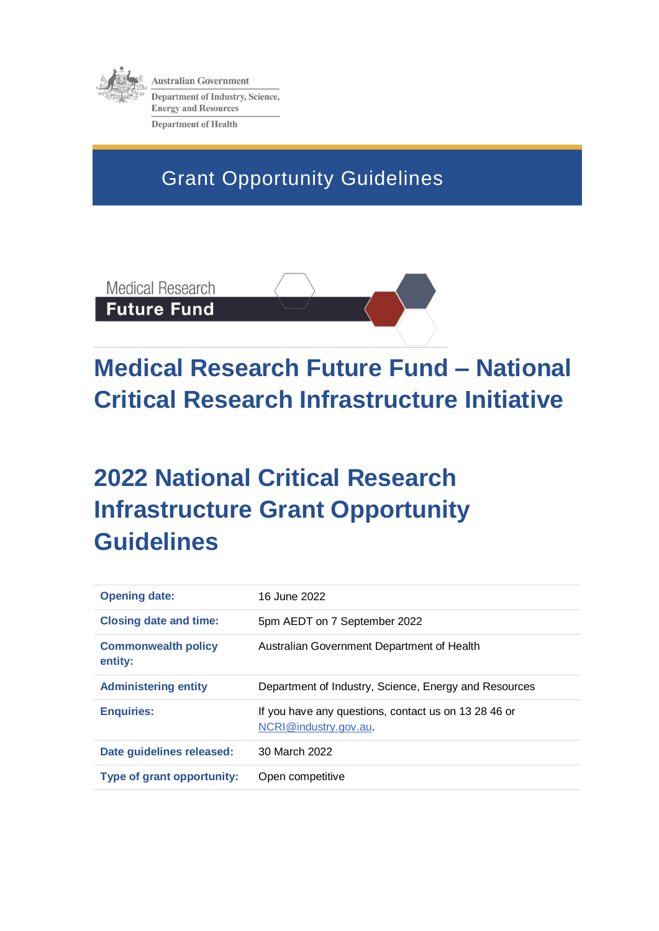

**Australian Government Department of Industry, Science, Energy and Resources Department of Health** 

Grant Opportunity Guidelines

**Medical Research Future Fund** 

# **Medical Research Future Fund – National Critical Research Infrastructure Initiative**

## **2022 National Critical Research Infrastructure Grant Opportunity Guidelines**

| <b>Opening date:</b>                  | 16 June 2022                                                                  |
|---------------------------------------|-------------------------------------------------------------------------------|
| <b>Closing date and time:</b>         | 5pm AEDT on 7 September 2022                                                  |
| <b>Commonwealth policy</b><br>entity: | Australian Government Department of Health                                    |
| <b>Administering entity</b>           | Department of Industry, Science, Energy and Resources                         |
| <b>Enquiries:</b>                     | If you have any questions, contact us on 13 28 46 or<br>NCRI@industry.gov.au. |
| Date guidelines released:             | 30 March 2022                                                                 |
| <b>Type of grant opportunity:</b>     | Open competitive                                                              |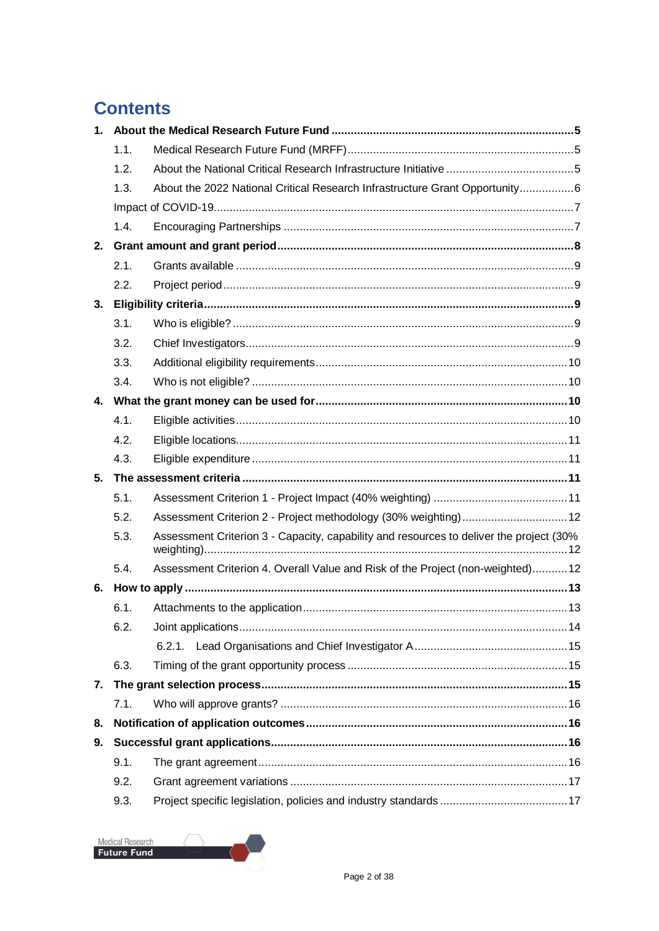### **Contents**

| 1 <sup>1</sup> |      |                                                                                         |  |
|----------------|------|-----------------------------------------------------------------------------------------|--|
|                | 1.1. |                                                                                         |  |
|                | 1.2. |                                                                                         |  |
|                | 1.3. | About the 2022 National Critical Research Infrastructure Grant Opportunity6             |  |
|                |      |                                                                                         |  |
|                | 1.4. |                                                                                         |  |
| 2.             |      |                                                                                         |  |
|                | 2.1. |                                                                                         |  |
|                | 2.2. |                                                                                         |  |
| 3.             |      |                                                                                         |  |
|                | 3.1. |                                                                                         |  |
|                | 3.2. |                                                                                         |  |
|                | 3.3. |                                                                                         |  |
|                | 3.4. |                                                                                         |  |
|                |      |                                                                                         |  |
|                | 4.1. |                                                                                         |  |
|                | 4.2. |                                                                                         |  |
|                | 4.3. |                                                                                         |  |
| 5 <sub>1</sub> |      |                                                                                         |  |
|                | 5.1. |                                                                                         |  |
|                | 5.2. | Assessment Criterion 2 - Project methodology (30% weighting) 12                         |  |
|                | 5.3. | Assessment Criterion 3 - Capacity, capability and resources to deliver the project (30% |  |
|                | 5.4. | Assessment Criterion 4. Overall Value and Risk of the Project (non-weighted)12          |  |
| 6.             |      |                                                                                         |  |
|                | 6.1. |                                                                                         |  |
|                | 6.2. |                                                                                         |  |
|                |      |                                                                                         |  |
|                | 6.3. |                                                                                         |  |
| 7.             |      |                                                                                         |  |
|                | 7.1. |                                                                                         |  |
| 8.             |      |                                                                                         |  |
| 9.             |      |                                                                                         |  |
|                | 9.1. |                                                                                         |  |
|                | 9.2. |                                                                                         |  |
|                | 9.3. |                                                                                         |  |

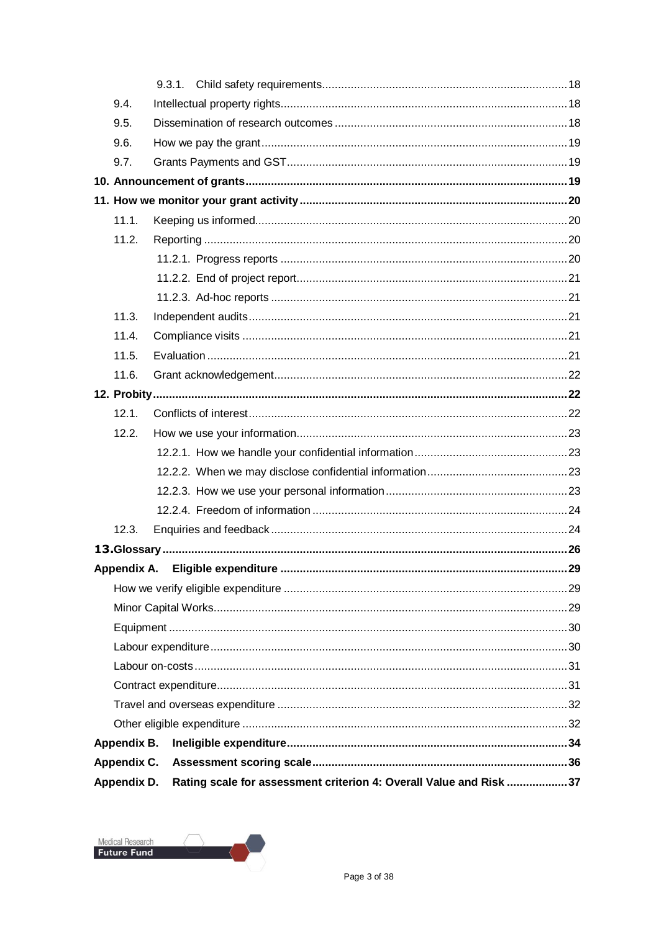| Appendix D. | Rating scale for assessment criterion 4: Overall Value and Risk 37 |  |
|-------------|--------------------------------------------------------------------|--|
| Appendix C. |                                                                    |  |
| Appendix B. |                                                                    |  |
|             |                                                                    |  |
|             |                                                                    |  |
|             |                                                                    |  |
|             |                                                                    |  |
|             |                                                                    |  |
|             |                                                                    |  |
|             |                                                                    |  |
|             |                                                                    |  |
|             |                                                                    |  |
|             |                                                                    |  |
| 12.3.       |                                                                    |  |
|             |                                                                    |  |
|             |                                                                    |  |
|             |                                                                    |  |
|             |                                                                    |  |
| 12.2.       |                                                                    |  |
| 12.1.       |                                                                    |  |
|             |                                                                    |  |
| 11.6.       |                                                                    |  |
| 11.5.       |                                                                    |  |
| 11.4.       |                                                                    |  |
| 11.3.       |                                                                    |  |
|             |                                                                    |  |
|             |                                                                    |  |
| 11.2.       |                                                                    |  |
| 11.1.       |                                                                    |  |
|             |                                                                    |  |
|             |                                                                    |  |
| 9.7.        |                                                                    |  |
| 9.6.        |                                                                    |  |
| 9.5.        |                                                                    |  |
| 9.4.        |                                                                    |  |
|             |                                                                    |  |
|             |                                                                    |  |

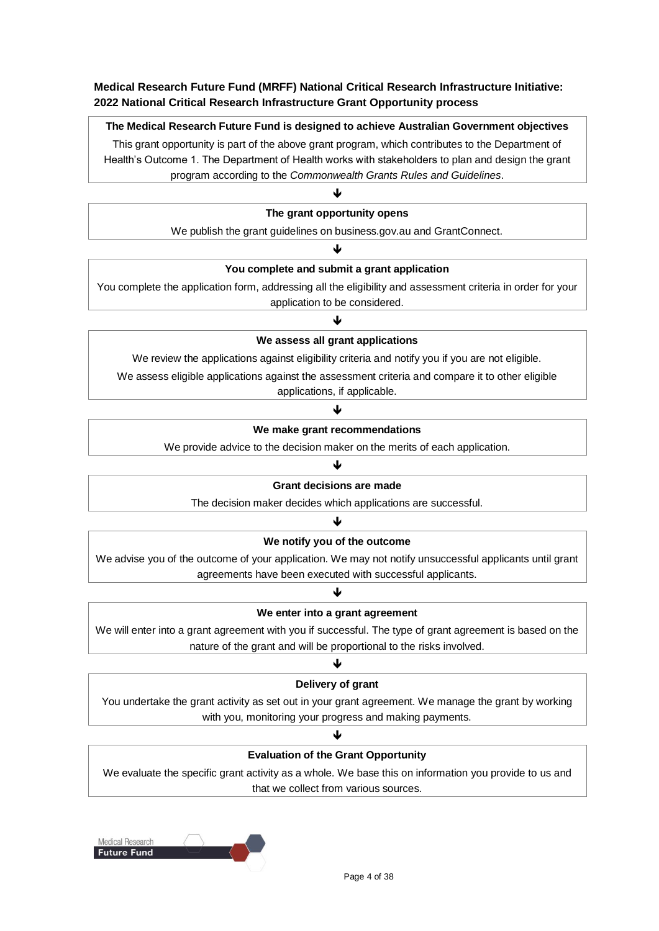### **Medical Research Future Fund (MRFF) National Critical Research Infrastructure Initiative: 2022 National Critical Research Infrastructure Grant Opportunity process**

#### **The Medical Research Future Fund is designed to achieve Australian Government objectives**

This grant opportunity is part of the above grant program, which contributes to the Department of Health's Outcome 1. The Department of Health works with stakeholders to plan and design the grant program according to the *Commonwealth Grants Rules and Guidelines*.

J

#### **The grant opportunity opens**

We publish the grant guidelines on business.gov.au and GrantConnect. J

#### **You complete and submit a grant application**

You complete the application form, addressing all the eligibility and assessment criteria in order for your application to be considered.

### ↓

#### **We assess all grant applications**

We review the applications against eligibility criteria and notify you if you are not eligible.

We assess eligible applications against the assessment criteria and compare it to other eligible

applications, if applicable.

### ♦ **We make grant recommendations**

We provide advice to the decision maker on the merits of each application.

#### J

#### **Grant decisions are made**

The decision maker decides which applications are successful. J

### **We notify you of the outcome**

We advise you of the outcome of your application. We may not notify unsuccessful applicants until grant agreements have been executed with successful applicants.

### J **We enter into a grant agreement**

We will enter into a grant agreement with you if successful. The type of grant agreement is based on the nature of the grant and will be proportional to the risks involved.

### ↓

#### **Delivery of grant**

You undertake the grant activity as set out in your grant agreement. We manage the grant by working with you, monitoring your progress and making payments.

### ♦ **Evaluation of the Grant Opportunity**

We evaluate the specific grant activity as a whole. We base this on information you provide to us and that we collect from various sources.

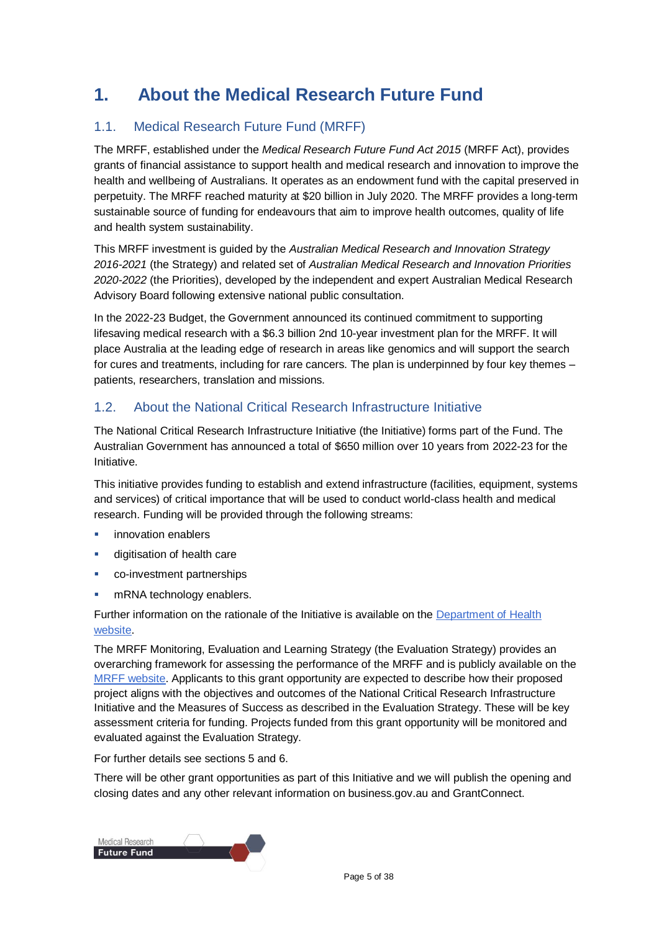### **1. About the Medical Research Future Fund**

### 1.1. Medical Research Future Fund (MRFF)

The MRFF, established under the *Medical Research Future Fund Act 2015* (MRFF Act), provides grants of financial assistance to support health and medical research and innovation to improve the health and wellbeing of Australians. It operates as an endowment fund with the capital preserved in perpetuity. The MRFF reached maturity at \$20 billion in July 2020. The MRFF provides a long-term sustainable source of funding for endeavours that aim to improve health outcomes, quality of life and health system sustainability.

This MRFF investment is guided by the *Australian Medical Research and Innovation Strategy 2016-2021* (the Strategy) and related set of *Australian Medical Research and Innovation Priorities 2020-2022* (the Priorities), developed by the independent and expert Australian Medical Research Advisory Board following extensive national public consultation.

In the 2022-23 Budget, the Government announced its continued commitment to supporting lifesaving medical research with a \$6.3 billion 2nd 10-year investment plan for the MRFF. It will place Australia at the leading edge of research in areas like genomics and will support the search for cures and treatments, including for rare cancers. The plan is underpinned by four key themes – patients, researchers, translation and missions.

### 1.2. About the National Critical Research Infrastructure Initiative

The National Critical Research Infrastructure Initiative (the Initiative) forms part of the Fund. The Australian Government has announced a total of \$650 million over 10 years from 2022-23 for the Initiative.

This initiative provides funding to establish and extend infrastructure (facilities, equipment, systems and services) of critical importance that will be used to conduct world-class health and medical research. Funding will be provided through the following streams:

- **innovation enablers**
- **digitisation of health care**
- co-investment partnerships
- **nRNA** technology enablers.

Further information on the rationale of the Initiative is available on the [Department of Health](https://www.health.gov.au/initiatives-and-programs/national-critical-research-infrastructure-initiative)  [website.](https://www.health.gov.au/initiatives-and-programs/national-critical-research-infrastructure-initiative)

The MRFF Monitoring, Evaluation and Learning Strategy (the Evaluation Strategy) provides an overarching framework for assessing the performance of the MRFF and is publicly available on the MRFF [website.](https://www.health.gov.au/resources/publications/mrff-monitoring-evaluation-and-learning-strategy-2020-21-to-2023-24) Applicants to this grant opportunity are expected to describe how their proposed project aligns with the objectives and outcomes of the National Critical Research Infrastructure Initiative and the Measures of Success as described in the Evaluation Strategy. These will be key assessment criteria for funding. Projects funded from this grant opportunity will be monitored and evaluated against the Evaluation Strategy.

For further details see sections 5 and 6.

There will be other grant opportunities as part of this Initiative and we will publish the [opening](https://www.grants.gov.au/) and closing [dates](https://www.grants.gov.au/go/list) and any other relevant information on business.gov.au and GrantConnect.

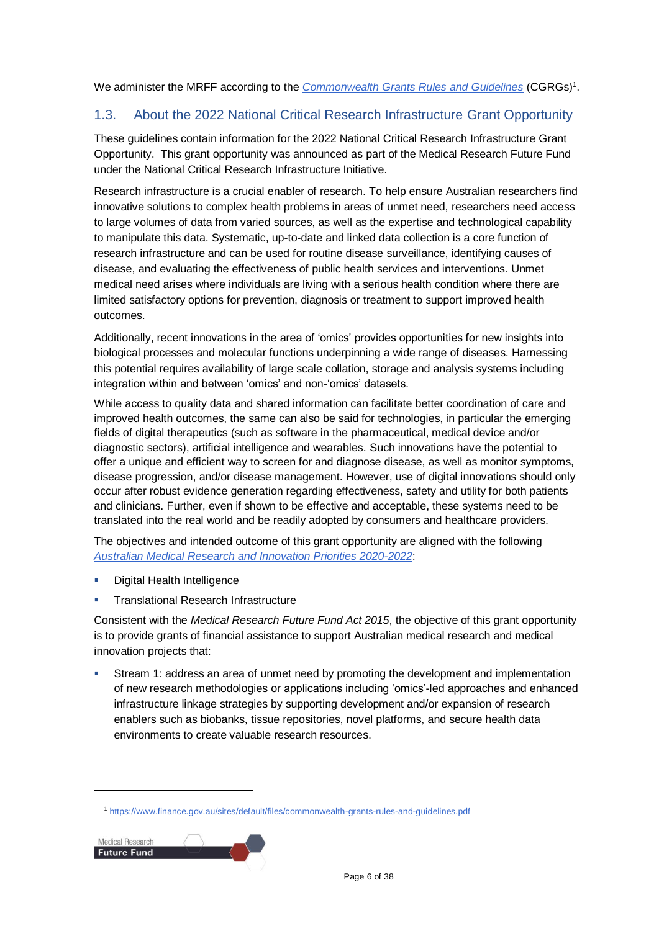We administer the MRFF according to the *[Commonwealth Grants Rules and Guidelines](https://www.finance.gov.au/sites/default/files/commonwealth-grants-rules-and-guidelines.pdf)* (CGRGs)<sup>1</sup>.

### 1.3. About the 2022 National Critical Research Infrastructure Grant Opportunity

These guidelines contain information for the 2022 National Critical Research Infrastructure Grant Opportunity. This grant opportunity was announced as part of the Medical Research Future Fund under the National Critical Research Infrastructure Initiative.

Research infrastructure is a crucial enabler of research. To help ensure Australian researchers find innovative solutions to complex health problems in areas of unmet need, researchers need access to large volumes of data from varied sources, as well as the expertise and technological capability to manipulate this data. Systematic, up-to-date and linked data collection is a core function of research infrastructure and can be used for routine disease surveillance, identifying causes of disease, and evaluating the effectiveness of public health services and interventions. Unmet medical need arises where individuals are living with a serious health condition where there are limited satisfactory options for prevention, diagnosis or treatment to support improved health outcomes.

Additionally, recent innovations in the area of 'omics' provides opportunities for new insights into biological processes and molecular functions underpinning a wide range of diseases. Harnessing this potential requires availability of large scale collation, storage and analysis systems including integration within and between 'omics' and non-'omics' datasets.

While access to quality data and shared information can facilitate better coordination of care and improved health outcomes, the same can also be said for technologies, in particular the emerging fields of digital therapeutics (such as software in the pharmaceutical, medical device and/or diagnostic sectors), artificial intelligence and wearables. Such innovations have the potential to offer a unique and efficient way to screen for and diagnose disease, as well as monitor symptoms, disease progression, and/or disease management. However, use of digital innovations should only occur after robust evidence generation regarding effectiveness, safety and utility for both patients and clinicians. Further, even if shown to be effective and acceptable, these systems need to be translated into the real world and be readily adopted by consumers and healthcare providers.

The objectives and intended outcome of this grant opportunity are aligned with the following *[Australian Medical Research and Innovation Priorities 2020-2022](https://www.health.gov.au/resources/publications/australian-medical-research-and-innovation-priorities-2020-2022)*:

- Digital Health Intelligence
- Translational Research Infrastructure

Consistent with the *Medical Research Future Fund Act 2015*, the objective of this grant opportunity is to provide grants of financial assistance to support Australian medical research and medical innovation projects that:

 Stream 1: address an area of unmet need by promoting the development and implementation of new research methodologies or applications including 'omics'-led approaches and enhanced infrastructure linkage strategies by supporting development and/or expansion of research enablers such as biobanks, tissue repositories, novel platforms, and secure health data environments to create valuable research resources.

<sup>1</sup> <https://www.finance.gov.au/sites/default/files/commonwealth-grants-rules-and-guidelines.pdf>

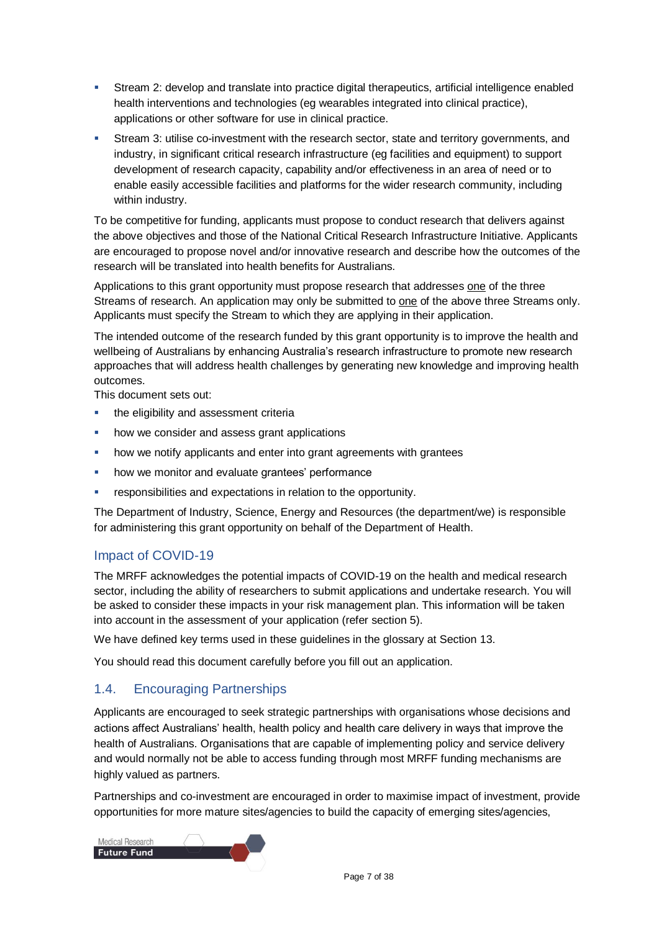- Stream 2: develop and translate into practice digital therapeutics, artificial intelligence enabled health interventions and technologies (eg wearables integrated into clinical practice), applications or other software for use in clinical practice.
- **Stream 3: utilise co-investment with the research sector, state and territory governments, and** industry, in significant critical research infrastructure (eg facilities and equipment) to support development of research capacity, capability and/or effectiveness in an area of need or to enable easily accessible facilities and platforms for the wider research community, including within industry.

To be competitive for funding, applicants must propose to conduct research that delivers against the above objectives and those of the National Critical Research Infrastructure Initiative. Applicants are encouraged to propose novel and/or innovative research and describe how the outcomes of the research will be translated into health benefits for Australians.

Applications to this grant opportunity must propose research that addresses one of the three Streams of research. An application may only be submitted to one of the above three Streams only. Applicants must specify the Stream to which they are applying in their application.

The intended outcome of the research funded by this grant opportunity is to improve the health and wellbeing of Australians by enhancing Australia's research infrastructure to promote new research approaches that will address health challenges by generating new knowledge and improving health outcomes.

This document sets out:

- the eligibility and assessment criteria
- how we consider and assess grant applications
- how we notify applicants and enter into grant agreements with grantees
- how we monitor and evaluate grantees' performance
- responsibilities and expectations in relation to the opportunity.

The Department of Industry, Science, Energy and Resources (the department/we) is responsible for administering this grant opportunity on behalf of the Department of Health.

### Impact of COVID-19

The MRFF acknowledges the potential impacts of COVID-19 on the health and medical research sector, including the ability of researchers to submit applications and undertake research. You will be asked to consider these impacts in your risk management plan. This information will be taken into account in the assessment of your application (refer section 5).

We have defined key terms used in these guidelines in the glossary at Section [13.](#page-25-0)

You should read this document carefully before you fill out an application.

### 1.4. Encouraging Partnerships

Applicants are encouraged to seek strategic partnerships with organisations whose decisions and actions affect Australians' health, health policy and health care delivery in ways that improve the health of Australians. Organisations that are capable of implementing policy and service delivery and would normally not be able to access funding through most MRFF funding mechanisms are highly valued as partners.

Partnerships and co-investment are encouraged in order to maximise impact of investment, provide opportunities for more mature sites/agencies to build the capacity of emerging sites/agencies,

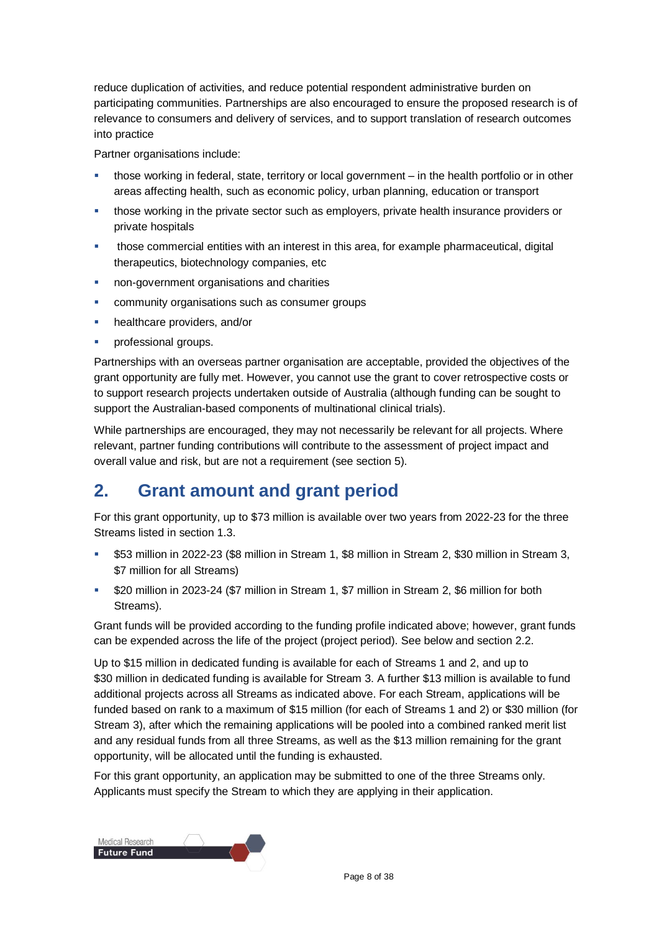reduce duplication of activities, and reduce potential respondent administrative burden on participating communities. Partnerships are also encouraged to ensure the proposed research is of relevance to consumers and delivery of services, and to support translation of research outcomes into practice

Partner organisations include:

- those working in federal, state, territory or local government in the health portfolio or in other areas affecting health, such as economic policy, urban planning, education or transport
- those working in the private sector such as employers, private health insurance providers or private hospitals
- those commercial entities with an interest in this area, for example pharmaceutical, digital therapeutics, biotechnology companies, etc
- non-government organisations and charities
- **EXECOMMUNITY ORGANISATIONS SUCH AS CONSUMER GROUPS**
- **healthcare providers, and/or**
- professional groups.

Partnerships with an overseas partner organisation are acceptable, provided the objectives of the grant opportunity are fully met. However, you cannot use the grant to cover retrospective costs or to support research projects undertaken outside of Australia (although funding can be sought to support the Australian-based components of multinational clinical trials).

While partnerships are encouraged, they may not necessarily be relevant for all projects. Where relevant, partner funding contributions will contribute to the assessment of project impact and overall value and risk, but are not a requirement (see section 5).

### **2. Grant amount and grant period**

For this grant opportunity, up to \$73 million is available over two years from 2022-23 for the three Streams listed in section 1.3.

- \$53 million in 2022-23 (\$8 million in Stream 1, \$8 million in Stream 2, \$30 million in Stream 3, \$7 million for all Streams)
- \$20 million in 2023-24 (\$7 million in Stream 1, \$7 million in Stream 2, \$6 million for both Streams).

Grant funds will be provided according to the funding profile indicated above; however, grant funds can be expended across the life of the project (project period). See below and section 2.2.

Up to \$15 million in dedicated funding is available for each of Streams 1 and 2, and up to \$30 million in dedicated funding is available for Stream 3. A further \$13 million is available to fund additional projects across all Streams as indicated above. For each Stream, applications will be funded based on rank to a maximum of \$15 million (for each of Streams 1 and 2) or \$30 million (for Stream 3), after which the remaining applications will be pooled into a combined ranked merit list and any residual funds from all three Streams, as well as the \$13 million remaining for the grant opportunity, will be allocated until the funding is exhausted.

For this grant opportunity, an application may be submitted to one of the three Streams only. Applicants must specify the Stream to which they are applying in their application.

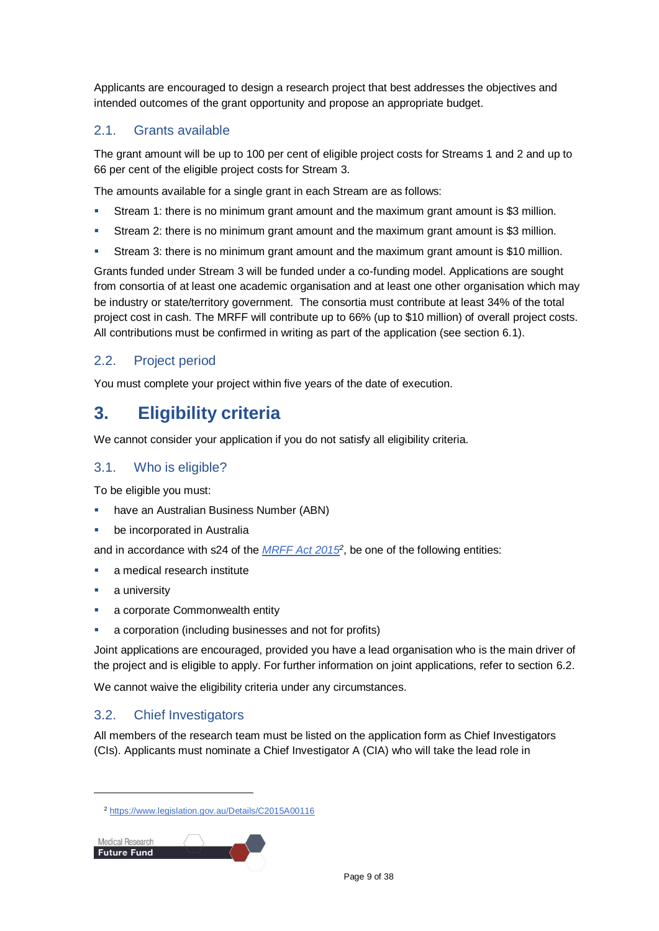Applicants are encouraged to design a research project that best addresses the objectives and intended outcomes of the grant opportunity and propose an appropriate budget.

### 2.1. Grants available

The grant amount will be up to 100 per cent of eligible project costs for Streams 1 and 2 and up to 66 per cent of the eligible project costs for Stream 3.

The amounts available for a single grant in each Stream are as follows:

- Stream 1: there is no minimum grant amount and the maximum grant amount is \$3 million.
- Stream 2: there is no minimum grant amount and the maximum grant amount is \$3 million.
- Stream 3: there is no minimum grant amount and the maximum grant amount is \$10 million.

Grants funded under Stream 3 will be funded under a co-funding model. Applications are sought from consortia of at least one academic organisation and at least one other organisation which may be industry or state/territory government. The consortia must contribute at least 34% of the total project cost in cash. The MRFF will contribute up to 66% (up to \$10 million) of overall project costs. All contributions must be confirmed in writing as part of the application (see section 6.1).

### 2.2. Project period

You must complete your project within five years of the date of execution.

### **3. Eligibility criteria**

We cannot consider your application if you do not satisfy all eligibility criteria.

### <span id="page-8-0"></span>3.1. Who is eligible?

To be eligible you must:

- have an Australian Business Number (ABN)
- be incorporated in Australia

and in accordance with s24 of the *[MRFF Act 2015](https://www.legislation.gov.au/Details/C2015A00116)<sup>2</sup>* , be one of the following entities:

- a medical research institute
- a university

l

- **a** corporate Commonwealth entity
- a corporation (including businesses and not for profits)

Joint applications are encouraged, provided you have a lead organisation who is the main driver of the project and is eligible to apply. For further information on joint applications, refer to section [6.2.](#page-13-0)

We cannot waive the eligibility criteria under any circumstances.

### 3.2. Chief Investigators

All members of the research team must be listed on the application form as Chief Investigators (CIs). Applicants must nominate a Chief Investigator A (CIA) who will take the lead role in

<sup>2</sup> <https://www.legislation.gov.au/Details/C2015A00116>

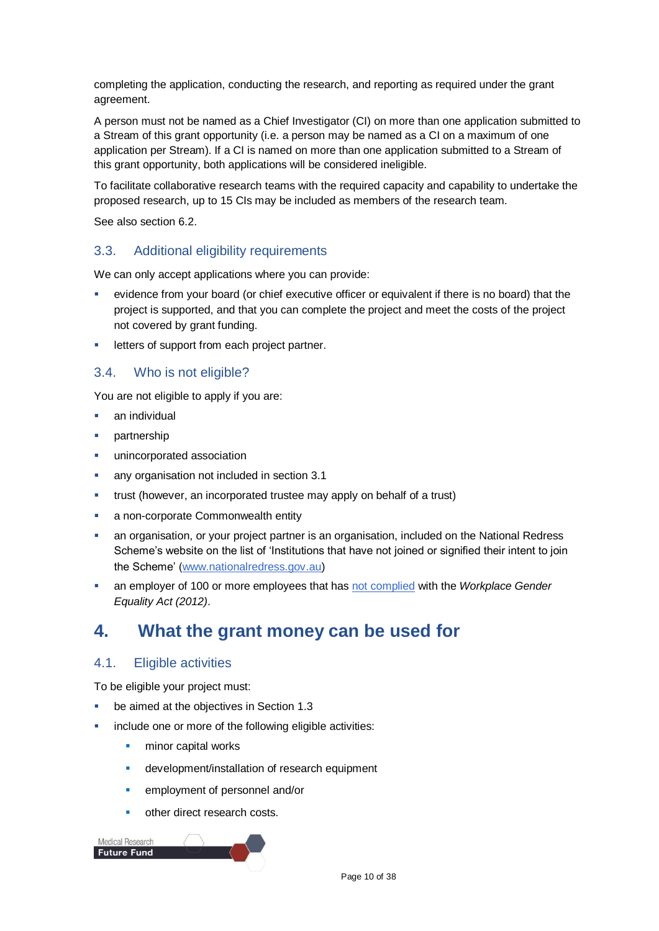completing the application, conducting the research, and reporting as required under the grant agreement.

A person must not be named as a Chief Investigator (CI) on more than one application submitted to a Stream of this grant opportunity (i.e. a person may be named as a CI on a maximum of one application per Stream). If a CI is named on more than one application submitted to a Stream of this grant opportunity, both applications will be considered ineligible.

To facilitate collaborative research teams with the required capacity and capability to undertake the proposed research, up to 15 CIs may be included as members of the research team.

See also section 6.2.

### 3.3. Additional eligibility requirements

We can only accept applications where you can provide:

- evidence from your board (or chief executive officer or equivalent if there is no board) that the project is supported, and that you can complete the project and meet the costs of the project not covered by grant funding.
- **EXECUTE:** letters of support from each project partner.

### 3.4. Who is not eligible?

You are not eligible to apply if you are:

- an individual
- partnership
- unincorporated association
- any organisation not included in section [3.1](#page-8-0)
- trust (however, an incorporated trustee may apply on behalf of a trust)
- a non-corporate Commonwealth entity
- an organisation, or your project partner is an organisation, included on the National Redress Scheme's website on the list of 'Institutions that have not joined or signified their intent to join the Scheme' [\(www.nationalredress.gov.au\)](http://www.nationalredress.gov.au/)
- an employer of 100 or more employees that has [not complied](https://www.wgea.gov.au/what-we-do/compliance-reporting/non-compliant-list) with the *Workplace Gender Equality Act (2012)*.

### **4. What the grant money can be used for**

### <span id="page-9-0"></span>4.1. Eligible activities

To be eligible your project must:

- be aimed at the objectives in Section 1.3
- include one or more of the following eligible activities:
	- **minor capital works**
	- **development/installation of research equipment**
	- **EXECUTE:** employment of personnel and/or
	- other direct research costs.

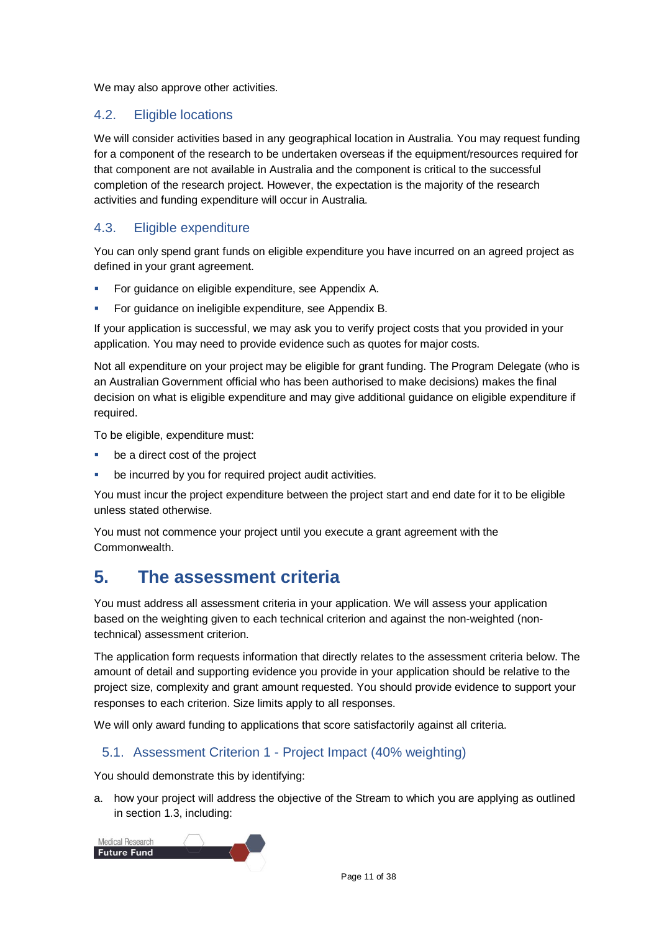We may also approve other activities.

### <span id="page-10-0"></span>4.2. Eligible locations

We will consider activities based in any geographical location in Australia. You may request funding for a component of the research to be undertaken overseas if the equipment/resources required for that component are not available in Australia and the component is critical to the successful completion of the research project. However, the expectation is the majority of the research activities and funding expenditure will occur in Australia.

### 4.3. Eligible expenditure

You can only spend grant funds on eligible expenditure you have incurred on an agreed project as defined in your grant agreement.

- For guidance on eligible expenditure, see Appendix A.
- **For guidance on ineligible expenditure, see Appendix B.**

If your application is successful, we may ask you to verify project costs that you provided in your application. You may need to provide evidence such as quotes for major costs.

Not all expenditure on your project may be eligible for grant funding. The Program Delegate (who is an Australian Government official who has been authorised to make decisions) makes the final decision on what is eligible expenditure and may give additional guidance on eligible expenditure if required.

To be eligible, expenditure must:

- be a direct cost of the project
- be incurred by you for required project audit activities.

You must incur the project expenditure between the project start and end date for it to be eligible unless stated otherwise.

You must not commence your project until you execute a grant agreement with the Commonwealth.

### **5. The assessment criteria**

You must address all assessment criteria in your application. We will assess your application based on the weighting given to each technical criterion and against the non-weighted (nontechnical) assessment criterion.

The application form requests information that directly relates to the assessment criteria below. The amount of detail and supporting evidence you provide in your application should be relative to the project size, complexity and grant amount requested. You should provide evidence to support your responses to each criterion. Size limits apply to all responses.

We will only award funding to applications that score satisfactorily against all criteria.

### 5.1. Assessment Criterion 1 - Project Impact (40% weighting)

You should demonstrate this by identifying:

a. how your project will address the objective of the Stream to which you are applying as outlined in section 1.3, including:

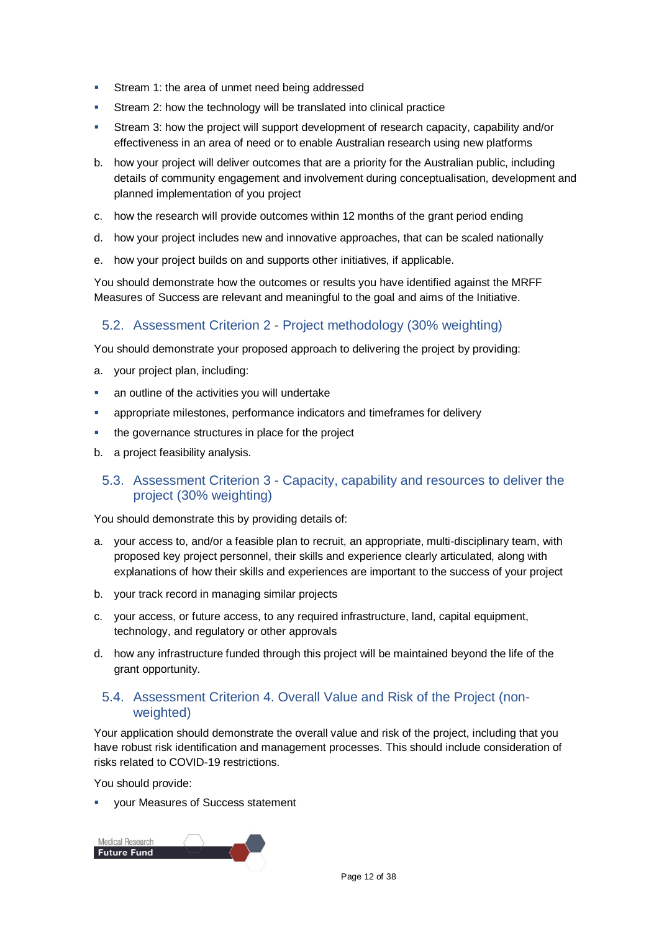- **Stream 1: the area of unmet need being addressed**
- Stream 2: how the technology will be translated into clinical practice
- Stream 3: how the project will support development of research capacity, capability and/or effectiveness in an area of need or to enable Australian research using new platforms
- b. how your project will deliver outcomes that are a priority for the Australian public, including details of community engagement and involvement during conceptualisation, development and planned implementation of you project
- c. how the research will provide outcomes within 12 months of the grant period ending
- d. how your project includes new and innovative approaches, that can be scaled nationally
- e. how your project builds on and supports other initiatives, if applicable.

You should demonstrate how the outcomes or results you have identified against the MRFF Measures of Success are relevant and meaningful to the goal and aims of the Initiative.

### 5.2. Assessment Criterion 2 - Project methodology (30% weighting)

You should demonstrate your proposed approach to delivering the project by providing:

- a. your project plan, including:
- an outline of the activities you will undertake
- appropriate milestones, performance indicators and timeframes for delivery
- the governance structures in place for the project
- b. a project feasibility analysis.

### 5.3. Assessment Criterion 3 - Capacity, capability and resources to deliver the project (30% weighting)

You should demonstrate this by providing details of:

- a. your access to, and/or a feasible plan to recruit, an appropriate, multi-disciplinary team, with proposed key project personnel, their skills and experience clearly articulated, along with explanations of how their skills and experiences are important to the success of your project
- b. your track record in managing similar projects
- c. your access, or future access, to any required infrastructure, land, capital equipment, technology, and regulatory or other approvals
- d. how any infrastructure funded through this project will be maintained beyond the life of the grant opportunity.

### 5.4. Assessment Criterion 4. Overall Value and Risk of the Project (nonweighted)

Your application should demonstrate the overall value and risk of the project, including that you have robust risk identification and management processes. This should include consideration of risks related to COVID-19 restrictions.

You should provide:

your Measures of Success statement

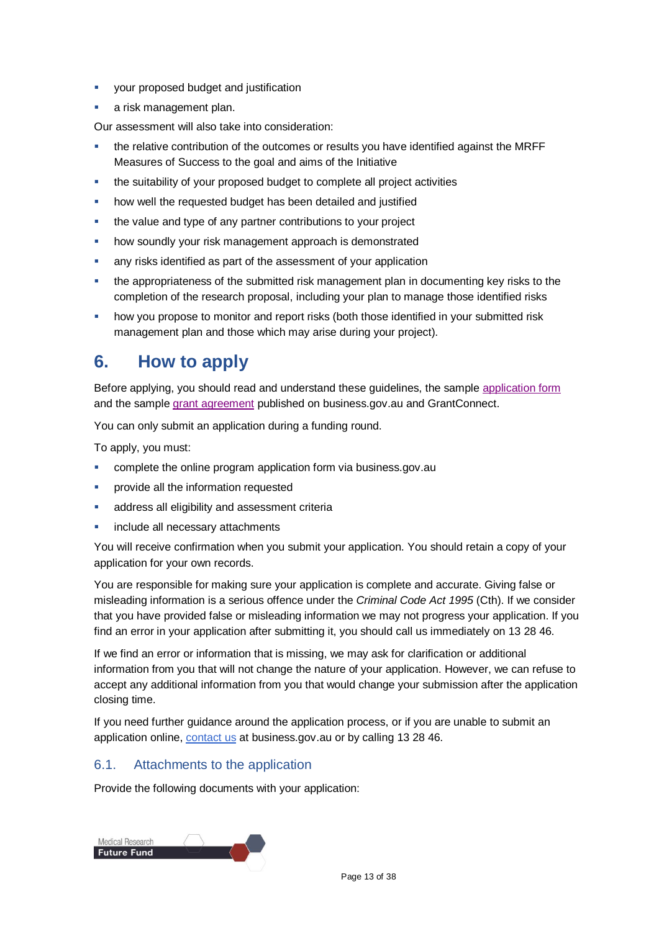- **•** your proposed budget and justification
- **a** risk management plan.

Our assessment will also take into consideration:

- the relative contribution of the outcomes or results you have identified against the MRFF Measures of Success to the goal and aims of the Initiative
- the suitability of your proposed budget to complete all project activities
- how well the requested budget has been detailed and justified
- the value and type of any partner contributions to your project
- how soundly your risk management approach is demonstrated
- any risks identified as part of the assessment of your application
- the appropriateness of the submitted risk management plan in documenting key risks to the completion of the research proposal, including your plan to manage those identified risks
- how you propose to monitor and report risks (both those identified in your submitted risk management plan and those which may arise during your project).

### **6. How to apply**

Before applying, you should read and understand these guidelines, the sample [application form](https://business.gov.au/grants-and-programs/mrff-2022-national-critical-research-infrastructure-initiative#key-documents) and the sample [grant agreement](https://business.gov.au/grants-and-programs/mrff-2022-national-critical-research-infrastructure-initiative#key-documents) published on business.gov.au and GrantConnect.

You can only submit an application during a funding round.

To apply, you must:

- complete the online [program application form](http://www.business.gov.au/INSERT%20URL) via business.gov.au
- provide all the information requested
- address all eligibility and assessment criteria
- include all necessary attachments

You will receive confirmation when you submit your application. You should retain a copy of your application for your own records.

You are responsible for making sure your application is complete and accurate. Giving false or misleading information is a serious offence under the *Criminal Code Act 1995* (Cth). If we consider that you have provided false or misleading information we may not progress your application. If you find an error in your application after submitting it, you should call us immediately on 13 28 46.

If we find an error or information that is missing, we may ask for clarification or additional information from you that will not change the nature of your application. However, we can refuse to accept any additional information from you that would change your submission after the application closing time.

If you need further guidance around the application process, or if you are unable to submit an application online, [contact us](https://www.business.gov.au/contact-us) at business.gov.au or by calling 13 28 46.

### 6.1. Attachments to the application

Provide the following documents with your application:

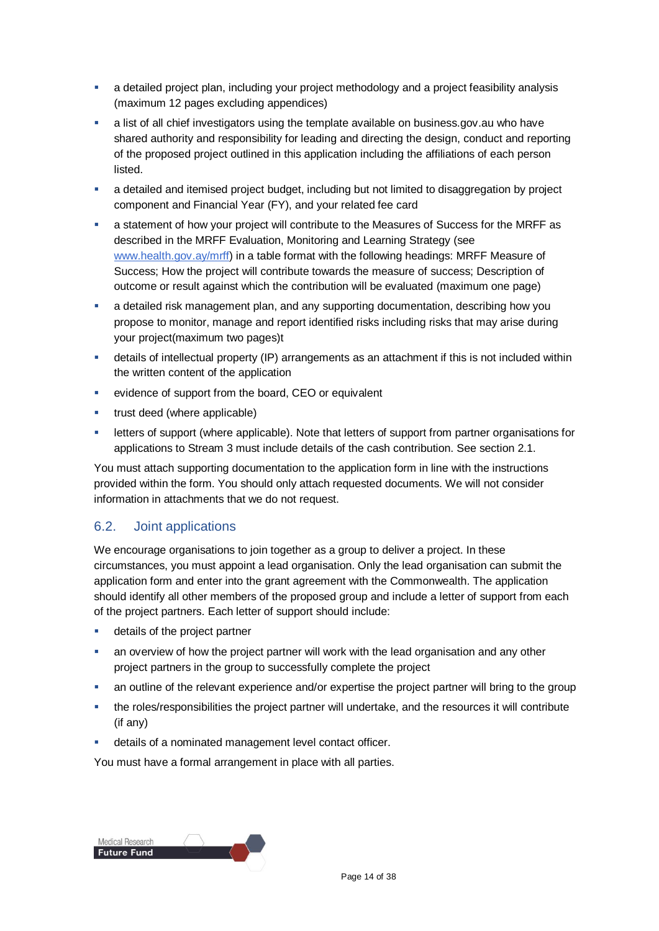- a detailed project plan, including your project methodology and a project feasibility analysis (maximum 12 pages excluding appendices)
- a list of all chief investigators using the template available on business.gov.au who have shared authority and responsibility for leading and directing the design, conduct and reporting of the proposed project outlined in this application including the affiliations of each person listed.
- a detailed and itemised project budget, including but not limited to disaggregation by project component and Financial Year (FY), and your related fee card
- a statement of how your project will contribute to the Measures of Success for the MRFF as described in the MRFF Evaluation, Monitoring and Learning Strategy (see [www.health.gov.ay/mrff\)](http://www.health.gov.ay/mrff) in a table format with the following headings: MRFF Measure of Success; How the project will contribute towards the measure of success; Description of outcome or result against which the contribution will be evaluated (maximum one page)
- a detailed risk management plan, and any supporting documentation, describing how you propose to monitor, manage and report identified risks including risks that may arise during your project(maximum two pages)t
- details of intellectual property (IP) arrangements as an attachment if this is not included within the written content of the application
- evidence of support from the board, CEO or equivalent
- **trust deed (where applicable)**
- letters of support (where applicable). Note that letters of support from partner organisations for applications to Stream 3 must include details of the cash contribution. See section 2.1.

You must attach supporting documentation to the application form in line with the instructions provided within the form. You should only attach requested documents. We will not consider information in attachments that we do not request.

### <span id="page-13-0"></span>6.2. Joint applications

We encourage organisations to join together as a group to deliver a project. In these circumstances, you must appoint a lead organisation. Only the lead organisation can submit the application form and enter into the grant agreement with the Commonwealth. The application should identify all other members of the proposed group and include a letter of support from each of the project partners. Each letter of support should include:

- **details of the project partner**
- an overview of how the project partner will work with the lead organisation and any other project partners in the group to successfully complete the project
- an outline of the relevant experience and/or expertise the project partner will bring to the group
- the roles/responsibilities the project partner will undertake, and the resources it will contribute (if any)
- details of a nominated management level contact officer.

You must have a formal arrangement in place with all parties.

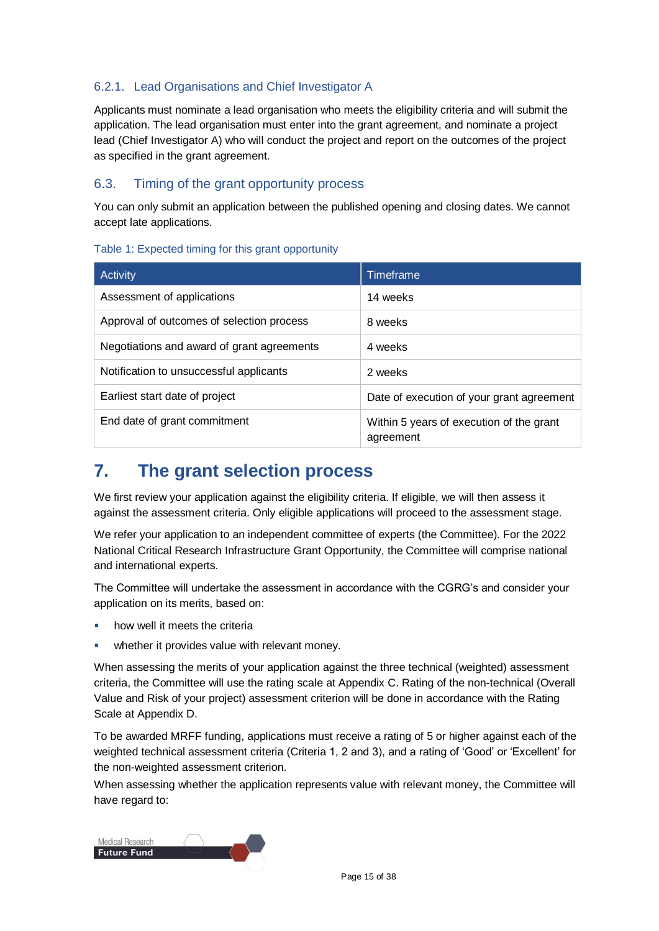### 6.2.1. Lead Organisations and Chief Investigator A

Applicants must nominate a lead organisation who meets the eligibility criteria and will submit the application. The lead organisation must enter into the grant agreement, and nominate a project lead (Chief Investigator A) who will conduct the project and report on the outcomes of the project as specified in the grant agreement.

### 6.3. Timing of the grant opportunity process

You can only submit an application between the published opening and closing dates. We cannot accept late applications.

#### Table 1: Expected timing for this grant opportunity

| Activity                                   | Timeframe                                             |
|--------------------------------------------|-------------------------------------------------------|
| Assessment of applications                 | 14 weeks                                              |
| Approval of outcomes of selection process  | 8 weeks                                               |
| Negotiations and award of grant agreements | 4 weeks                                               |
| Notification to unsuccessful applicants    | 2 weeks                                               |
| Earliest start date of project             | Date of execution of your grant agreement             |
| End date of grant commitment               | Within 5 years of execution of the grant<br>agreement |

### **7. The grant selection process**

We first review your application against the eligibility criteria. If eligible, we will then assess it against the assessment criteria. Only eligible applications will proceed to the assessment stage.

We refer your application to an independent committee of experts (the Committee). For the 2022 National Critical Research Infrastructure Grant Opportunity, the Committee will comprise national and international experts.

The Committee will undertake the assessment in accordance with the CGRG's and consider your application on its merits, based on:

- how well it meets the criteria
- whether it provides value with relevant money.

When assessing the merits of your application against the three technical (weighted) assessment criteria, the Committee will use the rating scale at Appendix C. Rating of the non-technical (Overall Value and Risk of your project) assessment criterion will be done in accordance with the Rating Scale at Appendix D.

To be awarded MRFF funding, applications must receive a rating of 5 or higher against each of the weighted technical assessment criteria (Criteria 1, 2 and 3), and a rating of 'Good' or 'Excellent' for the non-weighted assessment criterion.

When assessing whether the application represents value with relevant money, the Committee will have regard to:

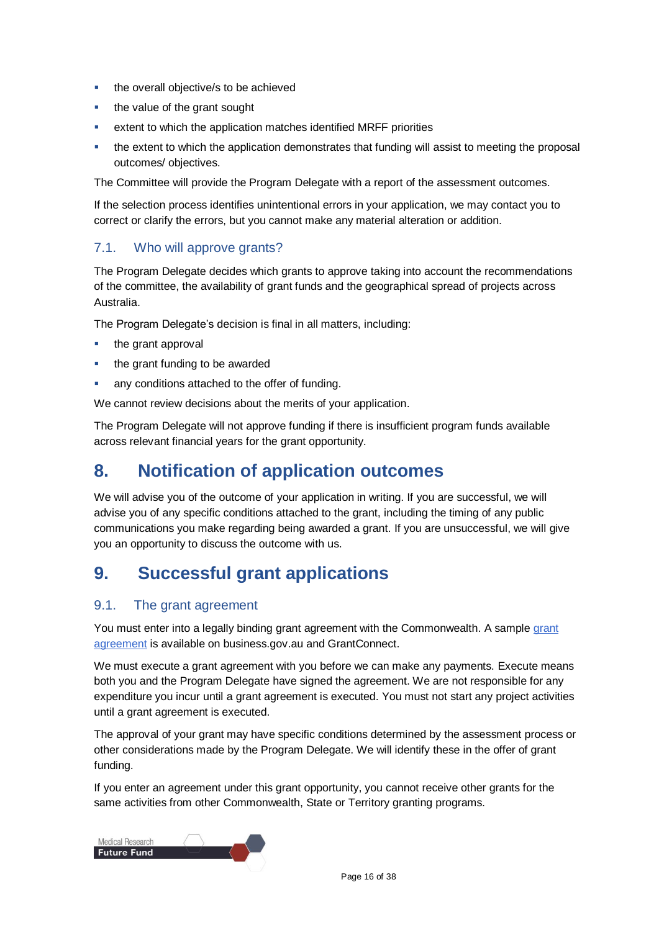- **the overall objective/s to be achieved**
- **the value of the grant sought**
- extent to which the application matches identified MRFF priorities
- the extent to which the application demonstrates that funding will assist to meeting the proposal outcomes/ objectives.

The Committee will provide the Program Delegate with a report of the assessment outcomes.

If the selection process identifies unintentional errors in your application, we may contact you to correct or clarify the errors, but you cannot make any material alteration or addition.

### 7.1. Who will approve grants?

The Program Delegate decides which grants to approve taking into account the recommendations of the committee, the availability of grant funds and the geographical spread of projects across Australia.

The Program Delegate's decision is final in all matters, including:

- the grant approval
- the grant funding to be awarded
- **any conditions attached to the offer of funding.**

We cannot review decisions about the merits of your application.

The Program Delegate will not approve funding if there is insufficient program funds available across relevant financial years for the grant opportunity.

### **8. Notification of application outcomes**

We will advise you of the outcome of your application in writing. If you are successful, we will advise you of any specific conditions attached to the grant, including the timing of any public communications you make regarding being awarded a grant. If you are unsuccessful, we will give you an opportunity to discuss the outcome with us.

### **9. Successful grant applications**

### 9.1. The grant agreement

You must enter into a legally binding grant agreement with the Commonwealth. A sample [grant](https://business.gov.au/grants-and-programs/mrff-2022-national-critical-research-infrastructure-initiative#key-documents)  [agreement](https://business.gov.au/grants-and-programs/mrff-2022-national-critical-research-infrastructure-initiative#key-documents) is available on business.gov.au and GrantConnect.

We must execute a grant agreement with you before we can make any payments. Execute means both you and the Program Delegate have signed the agreement. We are not responsible for any expenditure you incur until a grant agreement is executed. You must not start any project activities until a grant agreement is executed.

The approval of your grant may have specific conditions determined by the assessment process or other considerations made by the Program Delegate. We will identify these in the offer of grant funding.

If you enter an agreement under this grant opportunity, you cannot receive other grants for the same activities from other Commonwealth, State or Territory granting programs.

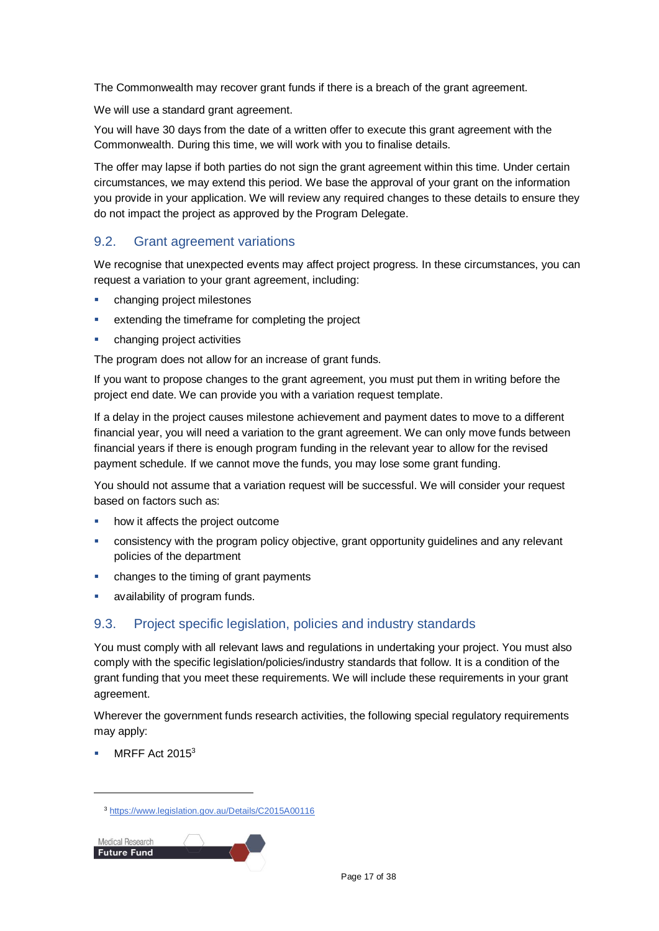The Commonwealth may recover grant funds if there is a breach of the grant agreement.

We will use a standard grant agreement.

You will have 30 days from the date of a written offer to execute this grant agreement with the Commonwealth. During this time, we will work with you to finalise details.

The offer may lapse if both parties do not sign the grant agreement within this time. Under certain circumstances, we may extend this period. We base the approval of your grant on the information you provide in your application. We will review any required changes to these details to ensure they do not impact the project as approved by the Program Delegate.

### 9.2. Grant agreement variations

We recognise that unexpected events may affect project progress. In these circumstances, you can request a variation to your grant agreement, including:

- **•** changing project milestones
- **EXTERUARER EXTENDING THE EXTENDING THE EXTENDING THE EXTENDING THE EXTENDING THE EXTENDING THE EXTENDING THE EXTENDING THE EXTENDING THE EXTENDING THE EXTENDING THE EXTENDING THE EXTENDING THE EXTENDING THE EXTENDING THE**
- changing project activities

The program does not allow for an increase of grant funds.

If you want to propose changes to the grant agreement, you must put them in writing before the project end date. We can provide you with a variation request template.

If a delay in the project causes milestone achievement and payment dates to move to a different financial year, you will need a variation to the grant agreement. We can only move funds between financial years if there is enough program funding in the relevant year to allow for the revised payment schedule. If we cannot move the funds, you may lose some grant funding.

You should not assume that a variation request will be successful. We will consider your request based on factors such as:

- how it affects the project outcome
- consistency with the program policy objective, grant opportunity guidelines and any relevant policies of the department
- changes to the timing of grant payments
- availability of program funds.

### 9.3. Project specific legislation, policies and industry standards

You must comply with all relevant laws and regulations in undertaking your project. You must also comply with the specific legislation/policies/industry standards that follow. It is a condition of the grant funding that you meet these requirements. We will include these requirements in your grant agreement.

Wherever the government funds research activities, the following special regulatory requirements may apply:

[MRFF Act 2015](https://www.legislation.gov.au/Details/C2015A00116)<sup>3</sup>

<sup>3</sup> <https://www.legislation.gov.au/Details/C2015A00116>

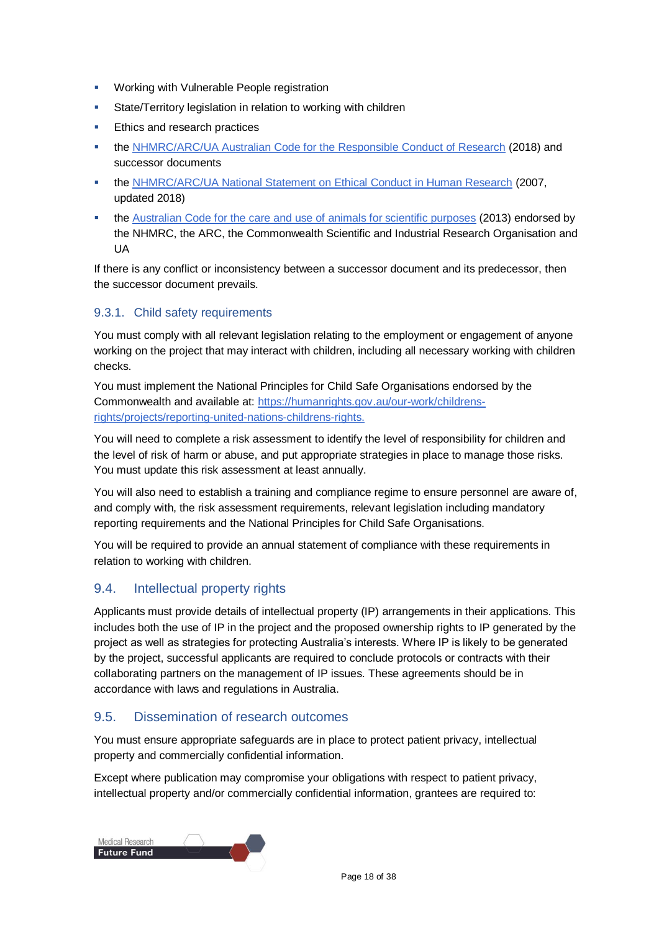- **Working with Vulnerable People registration**
- State/Territory legislation in relation to working with children
- **Ethics and research practices**
- **th[e NHMRC/ARC/UA Australian Code for the Responsible Conduct of Research](https://www.nhmrc.gov.au/about-us/publications/australian-code-responsible-conduct-research-2018) (2018) and** successor documents
- th[e NHMRC/ARC/UA National Statement on Ethical Conduct in Human Research](https://www.nhmrc.gov.au/about-us/publications/national-statement-ethical-conduct-human-research-2007-updated-2018) (2007, updated 2018)
- **th[e Australian Code for the care and use of animals for scientific purposes](https://www.nhmrc.gov.au/about-us/publications/australian-code-care-and-use-animals-scientific-purposes) (2013) endorsed by** the NHMRC, the ARC, the Commonwealth Scientific and Industrial Research Organisation and UA

If there is any conflict or inconsistency between a successor document and its predecessor, then the successor document prevails.

### 9.3.1. Child safety requirements

You must comply with all relevant legislation relating to the employment or engagement of anyone working on the project that may interact with children, including all necessary working with children checks.

You must implement the National Principles for Child Safe Organisations endorsed by the Commonwealth and available at: [https://humanrights.gov.au/our-work/childrens](https://humanrights.gov.au/our-work/childrens-rights/projects/reporting-united-nations-childrens-rights)[rights/projects/reporting-united-nations-childrens-rights.](https://humanrights.gov.au/our-work/childrens-rights/projects/reporting-united-nations-childrens-rights)

You will need to complete a risk assessment to identify the level of responsibility for children and the level of risk of harm or abuse, and put appropriate strategies in place to manage those risks. You must update this risk assessment at least annually.

You will also need to establish a training and compliance regime to ensure personnel are aware of, and comply with, the risk assessment requirements, relevant legislation including mandatory reporting requirements and the National Principles for Child Safe Organisations.

You will be required to provide an annual statement of compliance with these requirements in relation to working with children.

### 9.4. Intellectual property rights

Applicants must provide details of intellectual property (IP) arrangements in their applications. This includes both the use of IP in the project and the proposed ownership rights to IP generated by the project as well as strategies for protecting Australia's interests. Where IP is likely to be generated by the project, successful applicants are required to conclude protocols or contracts with their collaborating partners on the management of IP issues. These agreements should be in accordance with laws and regulations in Australia.

### 9.5. Dissemination of research outcomes

You must ensure appropriate safeguards are in place to protect patient privacy, intellectual property and commercially confidential information.

Except where publication may compromise your obligations with respect to patient privacy, intellectual property and/or commercially confidential information, grantees are required to:

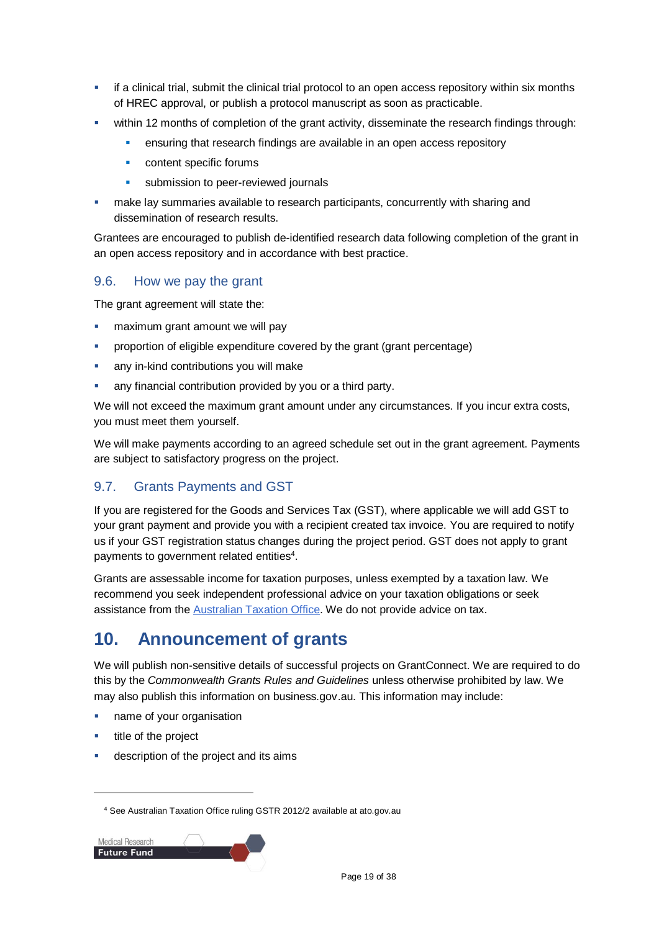- if a clinical trial, submit the clinical trial protocol to an open access repository within six months of HREC approval, or publish a protocol manuscript as soon as practicable.
- within 12 months of completion of the grant activity, disseminate the research findings through:
	- ensuring that research findings are available in an open access repository
	- **•** content specific forums
	- **submission to peer-reviewed journals**
- make lay summaries available to research participants, concurrently with sharing and dissemination of research results.

Grantees are encouraged to publish de-identified research data following completion of the grant in an open access repository and in accordance with best practice.

### 9.6. How we pay the grant

The grant agreement will state the:

- maximum grant amount we will pay
- proportion of eligible expenditure covered by the grant (grant percentage)
- any in-kind contributions you will make
- any financial contribution provided by you or a third party.

We will not exceed the maximum grant amount under any circumstances. If you incur extra costs, you must meet them yourself.

We will make payments according to an agreed schedule set out in the grant agreement. Payments are subject to satisfactory progress on the project.

### 9.7. Grants Payments and GST

If you are registered for the Goods and Services Tax (GST), where applicable we will add GST to your grant payment and provide you with a recipient created tax invoice. You are required to notify us if your GST registration status changes during the project period. GST does not apply to grant payments to government related entities<sup>4</sup>.

Grants are assessable income for taxation purposes, unless exempted by a taxation law. We recommend you seek independent professional advice on your taxation obligations or seek assistance from the [Australian Taxation Office.](https://www.ato.gov.au/) We do not provide advice on tax.

### **10. Announcement of grants**

We will publish non-sensitive details of successful projects on GrantConnect. We are required to do this by the *Commonwealth Grants Rules and Guidelines* unless otherwise prohibited by law. We may also publish this information on business.gov.au. This information may include:

- name of your organisation
- title of the project

l

description of the project and its aims

<sup>4</sup> See Australian Taxation Office ruling GSTR 2012/2 available at ato.gov.au

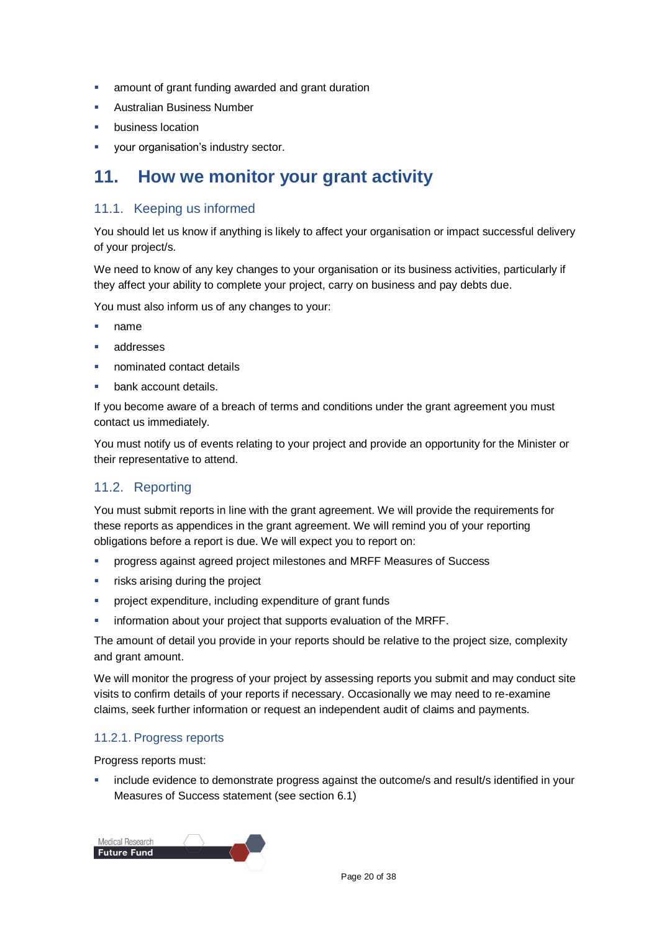- **all amount of grant funding awarded and grant duration**
- Australian Business Number
- business location
- **vour organisation's industry sector.**

### **11. How we monitor your grant activity**

### 11.1. Keeping us informed

You should let us know if anything is likely to affect your organisation or impact successful delivery of your project/s.

We need to know of any key changes to your organisation or its business activities, particularly if they affect your ability to complete your project, carry on business and pay debts due.

You must also inform us of any changes to your:

- name
- addresses
- nominated contact details
- bank account details.

If you become aware of a breach of terms and conditions under the grant agreement you must contact us immediately.

You must notify us of events relating to your project and provide an opportunity for the Minister or their representative to attend.

### 11.2. Reporting

You must submit reports in line with the [grant agreement.](file://///prod.protected.ind/User/user03/LLau2/insert%20link%20here) We will provide the requirements for these reports as appendices in the grant agreement. We will remind you of your reporting obligations before a report is due. We will expect you to report on:

- progress against agreed project milestones and MRFF Measures of Success
- **Filter** risks arising during the project
- project expenditure, including expenditure of grant funds
- information about your project that supports evaluation of the MRFF.

The amount of detail you provide in your reports should be relative to the project size, complexity and grant amount.

We will monitor the progress of your project by assessing reports you submit and may conduct site visits to confirm details of your reports if necessary. Occasionally we may need to re-examine claims, seek further information or request an independent audit of claims and payments.

#### 11.2.1. Progress reports

Progress reports must:

 include evidence to demonstrate progress against the outcome/s and result/s identified in your Measures of Success statement (see section 6.1)

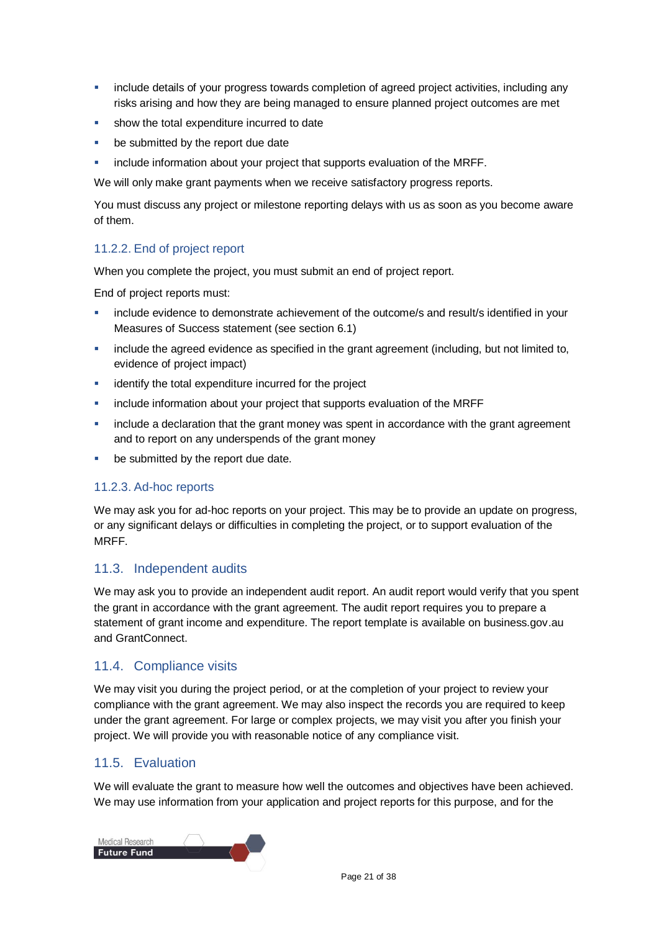- include details of your progress towards completion of agreed project activities, including any risks arising and how they are being managed to ensure planned project outcomes are met
- **show the total expenditure incurred to date**
- be submitted by the report due date
- **EXECT** include information about your project that supports evaluation of the MRFF.

We will only make grant payments when we receive satisfactory progress reports.

You must discuss any project or milestone reporting delays with us as soon as you become aware of them.

### 11.2.2. End of project report

When you complete the project, you must submit an end of project report.

End of project reports must:

- include evidence to demonstrate achievement of the outcome/s and result/s identified in your Measures of Success statement (see section 6.1)
- include the agreed evidence as specified in the grant agreement (including, but not limited to, evidence of project impact)
- **EXECUTE:** identify the total expenditure incurred for the project
- include information about your project that supports evaluation of the MRFF
- **EXED THE 19 Include a declaration that the grant money was spent in accordance with the grant agreement** and to report on any underspends of the grant money
- **be submitted by the report due date.**

### 11.2.3. Ad-hoc reports

We may ask you for ad-hoc reports on your project. This may be to provide an update on progress, or any significant delays or difficulties in completing the project, or to support evaluation of the MRFF.

### 11.3. Independent audits

We may ask you to provide an independent audit report. An audit report would verify that you spent the grant in accordance with the grant agreement. The audit report requires you to prepare a statement of grant income and expenditure. The report template is available on business.gov.au and GrantConnect.

### 11.4. Compliance visits

We may visit you during the project period, or at the completion of your project to review your compliance with the grant agreement. We may also inspect the records you are required to keep under the grant agreement. For large or complex projects, we may visit you after you finish your project. We will provide you with reasonable notice of any compliance visit.

### 11.5. Evaluation

We will evaluate the grant to measure how well the outcomes and objectives have been achieved. We may use information from your application and project reports for this purpose, and for the

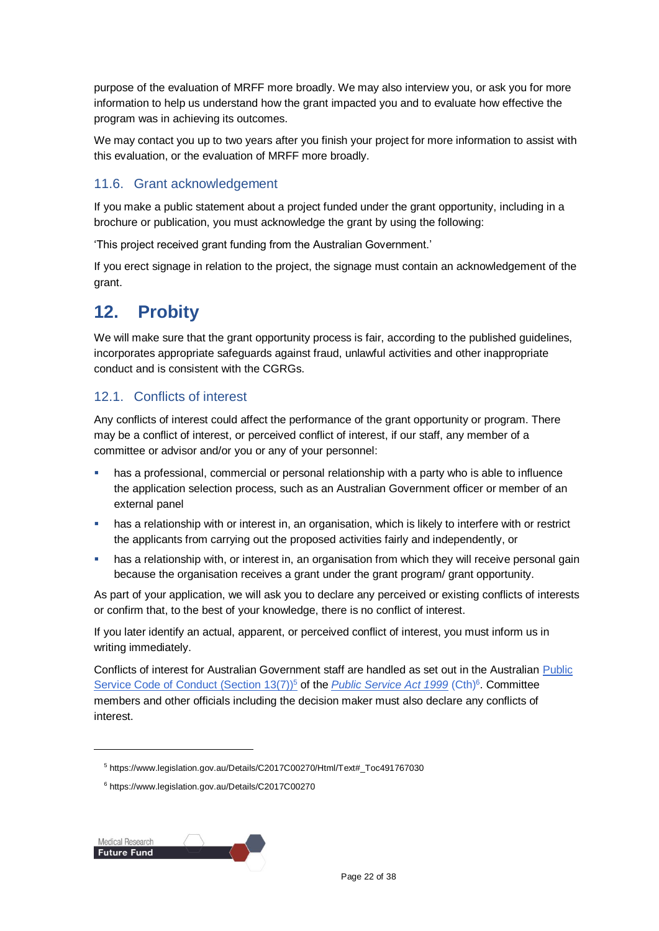purpose of the evaluation of MRFF more broadly. We may also interview you, or ask you for more information to help us understand how the grant impacted you and to evaluate how effective the program was in achieving its outcomes.

We may contact you up to two years after you finish your project for more information to assist with this evaluation, or the evaluation of MRFF more broadly.

### 11.6. Grant acknowledgement

If you make a public statement about a project funded under the grant opportunity, including in a brochure or publication, you must acknowledge the grant by using the following:

'This project received grant funding from the Australian Government.'

If you erect signage in relation to the project, the signage must contain an acknowledgement of the grant.

### **12. Probity**

We will make sure that the grant opportunity process is fair, according to the published guidelines, incorporates appropriate safeguards against fraud, unlawful activities and other inappropriate conduct and is consistent with the CGRGs.

### 12.1. Conflicts of interest

Any conflicts of interest could affect the performance of the grant opportunity or program. There may be a [conflict of interest,](http://www.apsc.gov.au/publications-and-media/current-publications/aps-values-and-code-of-conduct-in-practice/conflict-of-interest) or perceived conflict of interest, if our staff, any member of a committee or advisor and/or you or any of your personnel:

- **has a professional, commercial or personal relationship with a party who is able to influence** the application selection process, such as an Australian Government officer or member of an external panel
- **•** has a relationship with or interest in, an organisation, which is likely to interfere with or restrict the applicants from carrying out the proposed activities fairly and independently, or
- has a relationship with, or interest in, an organisation from which they will receive personal gain because the organisation receives a grant under the grant program/ grant opportunity.

As part of your application, we will ask you to declare any perceived or existing conflicts of interests or confirm that, to the best of your knowledge, there is no conflict of interest.

If you later identify an actual, apparent, or perceived conflict of interest, you must inform us in writing immediately.

Conflicts of interest for Australian Government staff are handled as set out in the Australian [Public](https://www.legislation.gov.au/Details/C2017C00270/Html/Text#_Toc491767030)  [Service Code of Conduct \(Section 13\(7\)\)](https://www.legislation.gov.au/Details/C2017C00270/Html/Text#_Toc491767030)<sup>5</sup> of the *[Public Service Act 1999](https://www.legislation.gov.au/Details/C2017C00270)* (Cth)<sup>6</sup>. Committee members and other officials including the decision maker must also declare any conflicts of interest.

Medical Research **Future Fund** 

<sup>5</sup> https://www.legislation.gov.au/Details/C2017C00270/Html/Text#\_Toc491767030

<sup>6</sup> https://www.legislation.gov.au/Details/C2017C00270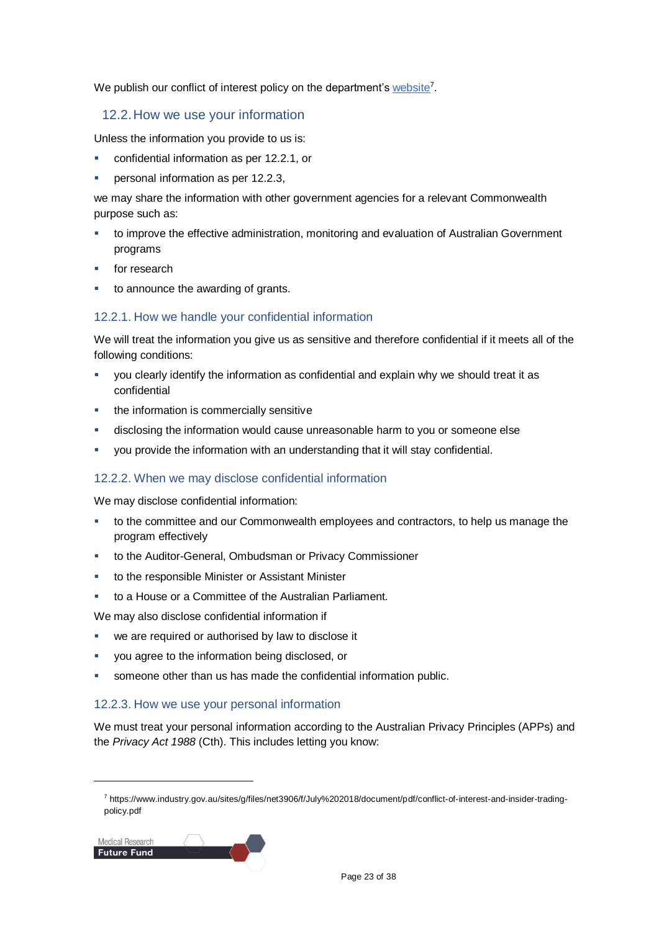We publish our conflict of interest policy on the department'[s website](https://www.industry.gov.au/sites/g/files/net3906/f/July%202018/document/pdf/conflict-of-interest-and-insider-trading-policy.pdf)<sup>7</sup>.

### 12.2.How we use your information

Unless the information you provide to us is:

- confidential information as per [12.2.1,](#page-22-0) or
- personal information as per [12.2.3,](#page-22-1)

we may share the information with other government agencies for a relevant Commonwealth purpose such as:

- to improve the effective administration, monitoring and evaluation of Australian Government programs
- for research
- to announce the awarding of grants.

### <span id="page-22-0"></span>12.2.1. How we handle your confidential information

We will treat the information you give us as sensitive and therefore confidential if it meets all of the following conditions:

- you clearly identify the information as confidential and explain why we should treat it as confidential
- the information is commercially sensitive
- disclosing the information would cause unreasonable harm to you or someone else
- you provide the information with an understanding that it will stay confidential.

### 12.2.2. When we may disclose confidential information

We may disclose confidential information:

- **to the committee and our Commonwealth employees and contractors, to help us manage the** program effectively
- to the Auditor-General, Ombudsman or Privacy Commissioner
- to the responsible Minister or Assistant Minister
- to a House or a Committee of the Australian Parliament.

We may also disclose confidential information if

- we are required or authorised by law to disclose it
- you agree to the information being disclosed, or
- someone other than us has made the confidential information public.

### <span id="page-22-1"></span>12.2.3. How we use your personal information

We must treat your personal information according to the Australian Privacy Principles (APPs) and the *Privacy Act 1988* (Cth). This includes letting you know:

<sup>7</sup> https://www.industry.gov.au/sites/g/files/net3906/f/July%202018/document/pdf/conflict-of-interest-and-insider-tradingpolicy.pdf

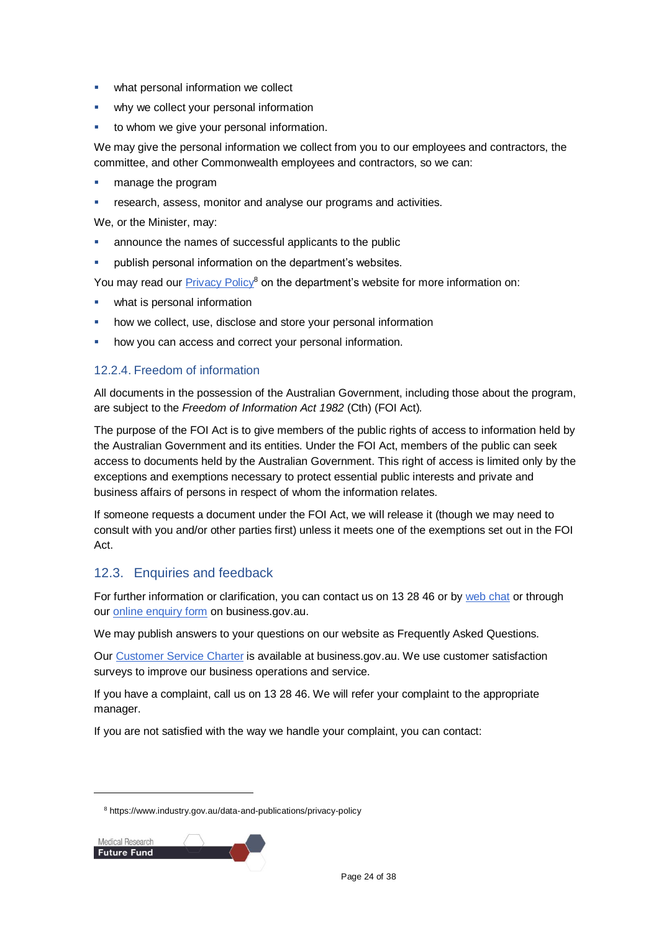- **what personal information we collect**
- why we collect your personal information
- **to whom we give your personal information.**

We may give the personal information we collect from you to our employees and contractors, the committee, and other Commonwealth employees and contractors, so we can:

- manage the program
- research, assess, monitor and analyse our programs and activities.

We, or the Minister, may:

- announce the names of successful applicants to the public
- publish personal information on the department's websites.

You may read our [Privacy Policy](https://www.industry.gov.au/data-and-publications/privacy-policy)<sup>8</sup> on the department's website for more information on:

- **what is personal information**
- how we collect, use, disclose and store your personal information
- how you can access and correct your personal information.

### 12.2.4. Freedom of information

All documents in the possession of the Australian Government, including those about the program, are subject to the *Freedom of Information Act 1982* (Cth) (FOI Act)*.*

The purpose of the FOI Act is to give members of the public rights of access to information held by the Australian Government and its entities. Under the FOI Act, members of the public can seek access to documents held by the Australian Government. This right of access is limited only by the exceptions and exemptions necessary to protect essential public interests and private and business affairs of persons in respect of whom the information relates.

If someone requests a document under the FOI Act, we will release it (though we may need to consult with you and/or other parties first) unless it meets one of the exemptions set out in the FOI Act.

### 12.3. Enquiries and feedback

For further information or clarification, you can contact us on 13 28 46 or by [web chat](https://www.business.gov.au/contact-us) or through our [online enquiry form](http://www.business.gov.au/contact-us/Pages/default.aspx) on business.gov.au.

We may publish answers to your questions on our website as Frequently Asked Questions.

Our [Customer Service Charter](https://www.business.gov.au/about/customer-service-charter) is available at [business.gov.au.](http://www.business.gov.au/) We use customer satisfaction surveys to improve our business operations and service.

If you have a complaint, call us on 13 28 46. We will refer your complaint to the appropriate manager.

If you are not satisfied with the way we handle your complaint, you can contact:

<sup>8</sup> https://www.industry.gov.au/data-and-publications/privacy-policy

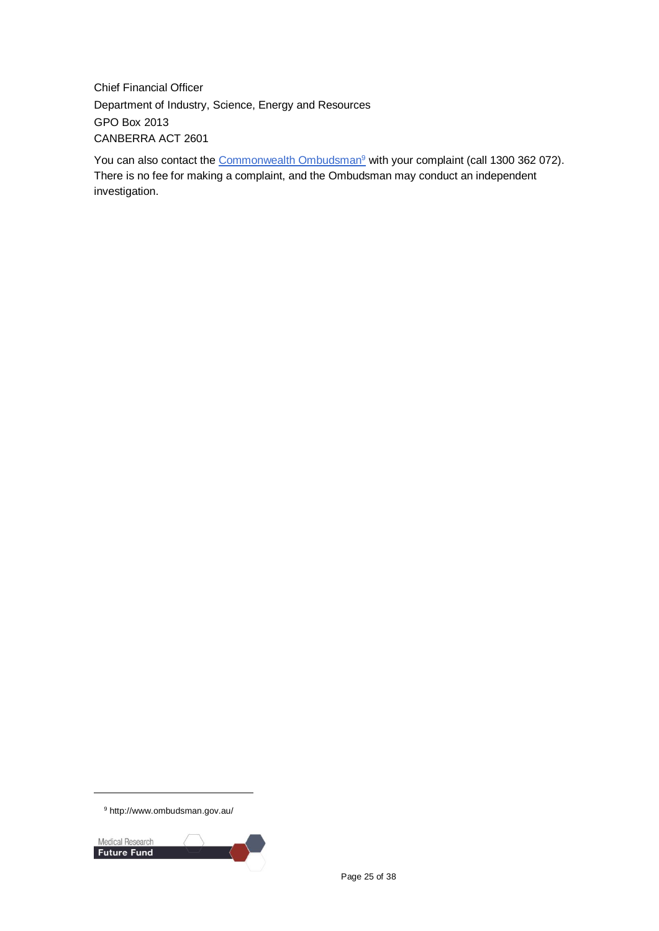Chief Financial Officer Department of Industry, Science, Energy and Resources GPO Box 2013 CANBERRA ACT 2601

You can also contact the [Commonwealth Ombudsman](http://www.ombudsman.gov.au/)<sup>9</sup> with your complaint (call 1300 362 072). There is no fee for making a complaint, and the Ombudsman may conduct an independent investigation.



<sup>9</sup> http://www.ombudsman.gov.au/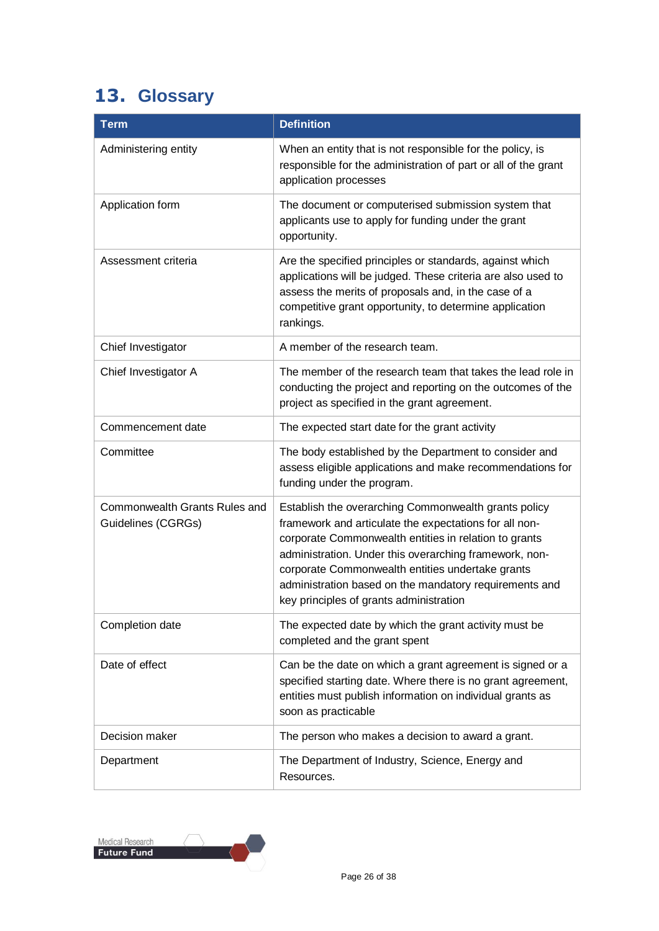## <span id="page-25-0"></span>**13. Glossary**

| <b>Term</b>                                         | <b>Definition</b>                                                                                                                                                                                                                                                                                                                                                                          |
|-----------------------------------------------------|--------------------------------------------------------------------------------------------------------------------------------------------------------------------------------------------------------------------------------------------------------------------------------------------------------------------------------------------------------------------------------------------|
| Administering entity                                | When an entity that is not responsible for the policy, is<br>responsible for the administration of part or all of the grant<br>application processes                                                                                                                                                                                                                                       |
| Application form                                    | The document or computerised submission system that<br>applicants use to apply for funding under the grant<br>opportunity.                                                                                                                                                                                                                                                                 |
| Assessment criteria                                 | Are the specified principles or standards, against which<br>applications will be judged. These criteria are also used to<br>assess the merits of proposals and, in the case of a<br>competitive grant opportunity, to determine application<br>rankings.                                                                                                                                   |
| Chief Investigator                                  | A member of the research team.                                                                                                                                                                                                                                                                                                                                                             |
| Chief Investigator A                                | The member of the research team that takes the lead role in<br>conducting the project and reporting on the outcomes of the<br>project as specified in the grant agreement.                                                                                                                                                                                                                 |
| Commencement date                                   | The expected start date for the grant activity                                                                                                                                                                                                                                                                                                                                             |
| Committee                                           | The body established by the Department to consider and<br>assess eligible applications and make recommendations for<br>funding under the program.                                                                                                                                                                                                                                          |
| Commonwealth Grants Rules and<br>Guidelines (CGRGs) | Establish the overarching Commonwealth grants policy<br>framework and articulate the expectations for all non-<br>corporate Commonwealth entities in relation to grants<br>administration. Under this overarching framework, non-<br>corporate Commonwealth entities undertake grants<br>administration based on the mandatory requirements and<br>key principles of grants administration |
| Completion date                                     | The expected date by which the grant activity must be<br>completed and the grant spent                                                                                                                                                                                                                                                                                                     |
| Date of effect                                      | Can be the date on which a grant agreement is signed or a<br>specified starting date. Where there is no grant agreement,<br>entities must publish information on individual grants as<br>soon as practicable                                                                                                                                                                               |
| Decision maker                                      | The person who makes a decision to award a grant.                                                                                                                                                                                                                                                                                                                                          |
| Department                                          | The Department of Industry, Science, Energy and<br>Resources.                                                                                                                                                                                                                                                                                                                              |

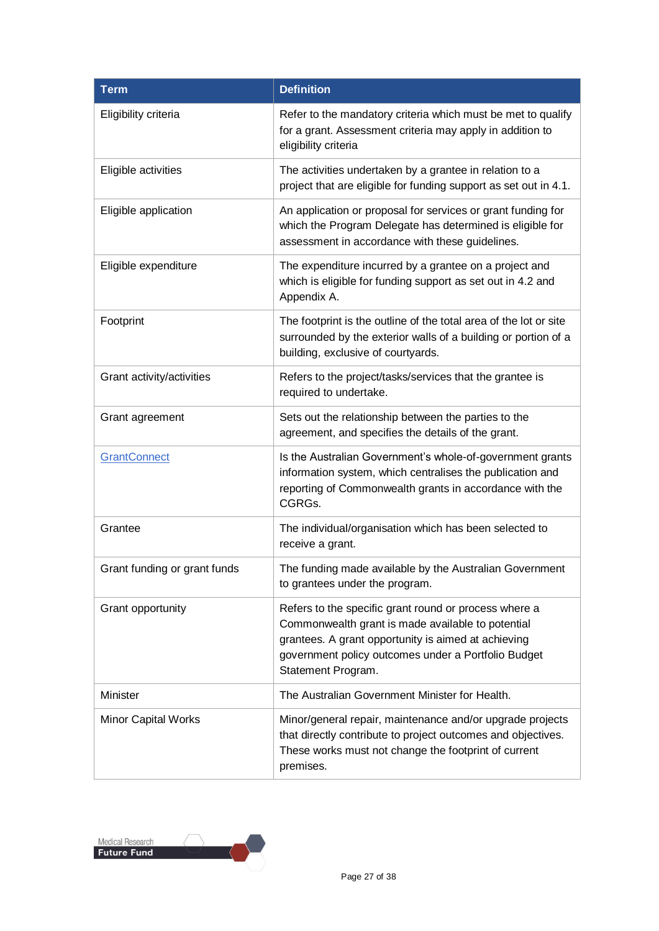| <b>Term</b>                  | <b>Definition</b>                                                                                                                                                                                                                              |
|------------------------------|------------------------------------------------------------------------------------------------------------------------------------------------------------------------------------------------------------------------------------------------|
| Eligibility criteria         | Refer to the mandatory criteria which must be met to qualify<br>for a grant. Assessment criteria may apply in addition to<br>eligibility criteria                                                                                              |
| Eligible activities          | The activities undertaken by a grantee in relation to a<br>project that are eligible for funding support as set out in 4.1.                                                                                                                    |
| Eligible application         | An application or proposal for services or grant funding for<br>which the Program Delegate has determined is eligible for<br>assessment in accordance with these guidelines.                                                                   |
| Eligible expenditure         | The expenditure incurred by a grantee on a project and<br>which is eligible for funding support as set out in 4.2 and<br>Appendix A.                                                                                                           |
| Footprint                    | The footprint is the outline of the total area of the lot or site<br>surrounded by the exterior walls of a building or portion of a<br>building, exclusive of courtyards.                                                                      |
| Grant activity/activities    | Refers to the project/tasks/services that the grantee is<br>required to undertake.                                                                                                                                                             |
| Grant agreement              | Sets out the relationship between the parties to the<br>agreement, and specifies the details of the grant.                                                                                                                                     |
| <b>GrantConnect</b>          | Is the Australian Government's whole-of-government grants<br>information system, which centralises the publication and<br>reporting of Commonwealth grants in accordance with the<br>CGRGs.                                                    |
| Grantee                      | The individual/organisation which has been selected to<br>receive a grant.                                                                                                                                                                     |
| Grant funding or grant funds | The funding made available by the Australian Government<br>to grantees under the program.                                                                                                                                                      |
| Grant opportunity            | Refers to the specific grant round or process where a<br>Commonwealth grant is made available to potential<br>grantees. A grant opportunity is aimed at achieving<br>government policy outcomes under a Portfolio Budget<br>Statement Program. |
| Minister                     | The Australian Government Minister for Health.                                                                                                                                                                                                 |
| Minor Capital Works          | Minor/general repair, maintenance and/or upgrade projects<br>that directly contribute to project outcomes and objectives.<br>These works must not change the footprint of current<br>premises.                                                 |

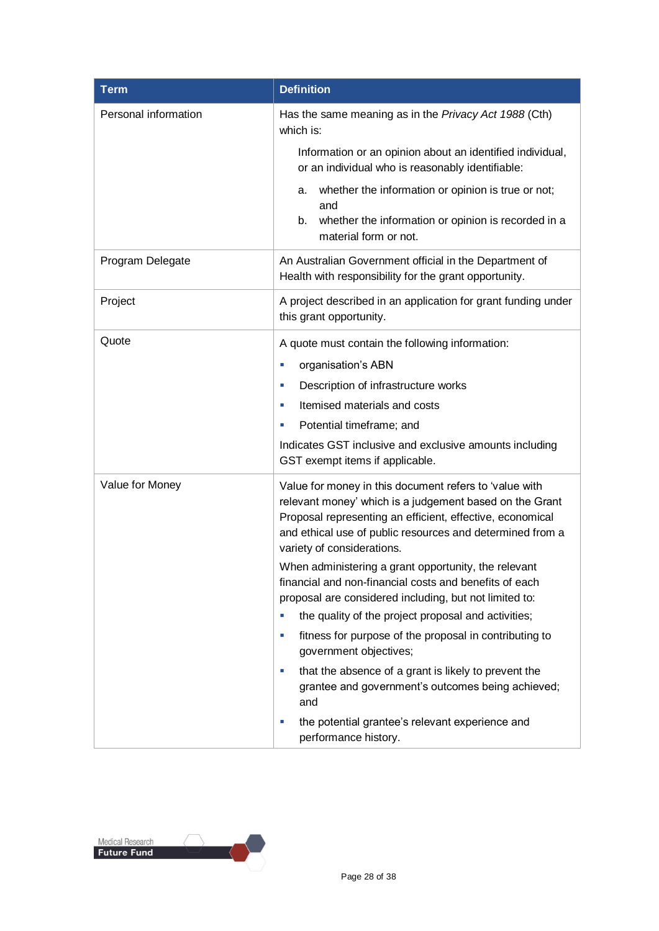| <b>Term</b>          | <b>Definition</b>                                                                                                                                                                                                                                                                                                                                                                                                                                 |
|----------------------|---------------------------------------------------------------------------------------------------------------------------------------------------------------------------------------------------------------------------------------------------------------------------------------------------------------------------------------------------------------------------------------------------------------------------------------------------|
| Personal information | Has the same meaning as in the Privacy Act 1988 (Cth)<br>which is:                                                                                                                                                                                                                                                                                                                                                                                |
|                      | Information or an opinion about an identified individual,<br>or an individual who is reasonably identifiable:                                                                                                                                                                                                                                                                                                                                     |
|                      | whether the information or opinion is true or not;<br>a.<br>and<br>whether the information or opinion is recorded in a<br>b.<br>material form or not.                                                                                                                                                                                                                                                                                             |
| Program Delegate     | An Australian Government official in the Department of<br>Health with responsibility for the grant opportunity.                                                                                                                                                                                                                                                                                                                                   |
| Project              | A project described in an application for grant funding under<br>this grant opportunity.                                                                                                                                                                                                                                                                                                                                                          |
| Quote                | A quote must contain the following information:<br>organisation's ABN<br>L.<br>Description of infrastructure works<br>×<br>Itemised materials and costs<br>L.<br>Potential timeframe; and<br>u,<br>Indicates GST inclusive and exclusive amounts including<br>GST exempt items if applicable.                                                                                                                                                     |
| Value for Money      | Value for money in this document refers to 'value with<br>relevant money' which is a judgement based on the Grant<br>Proposal representing an efficient, effective, economical<br>and ethical use of public resources and determined from a<br>variety of considerations.                                                                                                                                                                         |
|                      | When administering a grant opportunity, the relevant<br>financial and non-financial costs and benefits of each<br>proposal are considered including, but not limited to:<br>the quality of the project proposal and activities;<br>fitness for purpose of the proposal in contributing to<br>×<br>government objectives;<br>that the absence of a grant is likely to prevent the<br>×<br>grantee and government's outcomes being achieved;<br>and |
|                      | the potential grantee's relevant experience and<br>ш<br>performance history.                                                                                                                                                                                                                                                                                                                                                                      |

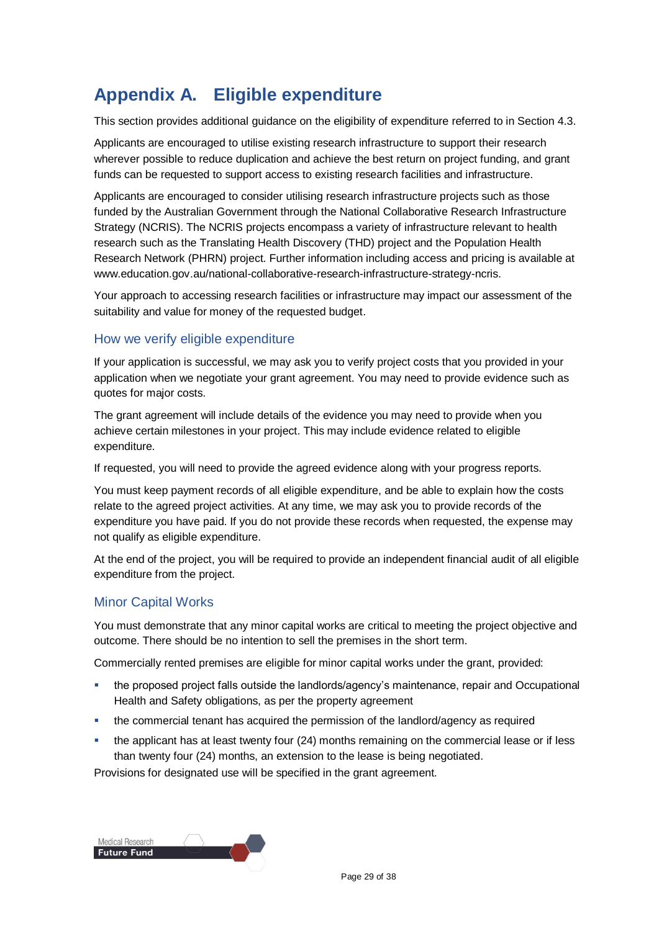### **Appendix A. Eligible expenditure**

This section provides additional guidance on the eligibility of expenditure referred to in Section 4.3.

Applicants are encouraged to utilise existing research infrastructure to support their research wherever possible to reduce duplication and achieve the best return on project funding, and grant funds can be requested to support access to existing research facilities and infrastructure.

Applicants are encouraged to consider utilising research infrastructure projects such as those funded by the Australian Government through the National Collaborative Research Infrastructure Strategy (NCRIS). The NCRIS projects encompass a variety of infrastructure relevant to health research such as the Translating Health Discovery (THD) project and the Population Health Research Network (PHRN) project. Further information including access and pricing is available at www.education.gov.au/national-collaborative-research-infrastructure-strategy-ncris.

Your approach to accessing research facilities or infrastructure may impact our assessment of the suitability and value for money of the requested budget.

### How we verify eligible expenditure

If your application is successful, we may ask you to verify project costs that you provided in your application when we negotiate your grant agreement. You may need to provide evidence such as quotes for major costs.

The grant agreement will include details of the evidence you may need to provide when you achieve certain milestones in your project. This may include evidence related to eligible expenditure.

If requested, you will need to provide the agreed evidence along with your progress reports.

You must keep payment records of all eligible expenditure, and be able to explain how the costs relate to the agreed project activities. At any time, we may ask you to provide records of the expenditure you have paid. If you do not provide these records when requested, the expense may not qualify as eligible expenditure.

At the end of the project, you will be required to provide an independent financial audit of all eligible expenditure from the project.

### Minor Capital Works

You must demonstrate that any minor capital works are critical to meeting the project objective and outcome. There should be no intention to sell the premises in the short term.

Commercially rented premises are eligible for minor capital works under the grant, provided:

- the proposed project falls outside the landlords/agency's maintenance, repair and Occupational Health and Safety obligations, as per the property agreement
- the commercial tenant has acquired the permission of the landlord/agency as required
- the applicant has at least twenty four (24) months remaining on the commercial lease or if less than twenty four (24) months, an extension to the lease is being negotiated.

Provisions for designated use will be specified in the grant agreement.

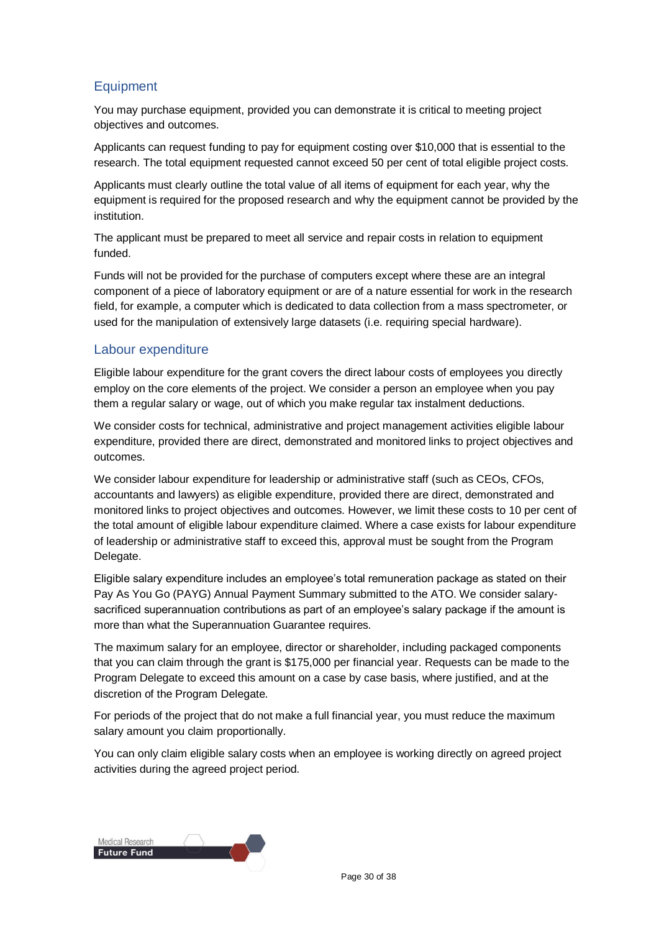### **Equipment**

You may purchase equipment, provided you can demonstrate it is critical to meeting project objectives and outcomes.

Applicants can request funding to pay for equipment costing over \$10,000 that is essential to the research. The total equipment requested cannot exceed 50 per cent of total eligible project costs.

Applicants must clearly outline the total value of all items of equipment for each year, why the equipment is required for the proposed research and why the equipment cannot be provided by the institution.

The applicant must be prepared to meet all service and repair costs in relation to equipment funded.

Funds will not be provided for the purchase of computers except where these are an integral component of a piece of laboratory equipment or are of a nature essential for work in the research field, for example, a computer which is dedicated to data collection from a mass spectrometer, or used for the manipulation of extensively large datasets (i.e. requiring special hardware).

### Labour expenditure

Eligible labour expenditure for the grant covers the direct labour costs of employees you directly employ on the core elements of the project. We consider a person an employee when you pay them a regular salary or wage, out of which you make regular tax instalment deductions.

We consider costs for technical, administrative and project management activities eligible labour expenditure, provided there are direct, demonstrated and monitored links to project objectives and outcomes.

We consider labour expenditure for leadership or administrative staff (such as CEOs, CFOs, accountants and lawyers) as eligible expenditure, provided there are direct, demonstrated and monitored links to project objectives and outcomes. However, we limit these costs to 10 per cent of the total amount of eligible labour expenditure claimed. Where a case exists for labour expenditure of leadership or administrative staff to exceed this, approval must be sought from the Program Delegate.

Eligible salary expenditure includes an employee's total remuneration package as stated on their Pay As You Go (PAYG) Annual Payment Summary submitted to the ATO. We consider salarysacrificed superannuation contributions as part of an employee's salary package if the amount is more than what the Superannuation Guarantee requires.

The maximum salary for an employee, director or shareholder, including packaged components that you can claim through the grant is \$175,000 per financial year. Requests can be made to the Program Delegate to exceed this amount on a case by case basis, where justified, and at the discretion of the Program Delegate.

For periods of the project that do not make a full financial year, you must reduce the maximum salary amount you claim proportionally.

You can only claim eligible salary costs when an employee is working directly on agreed project activities during the agreed project period.

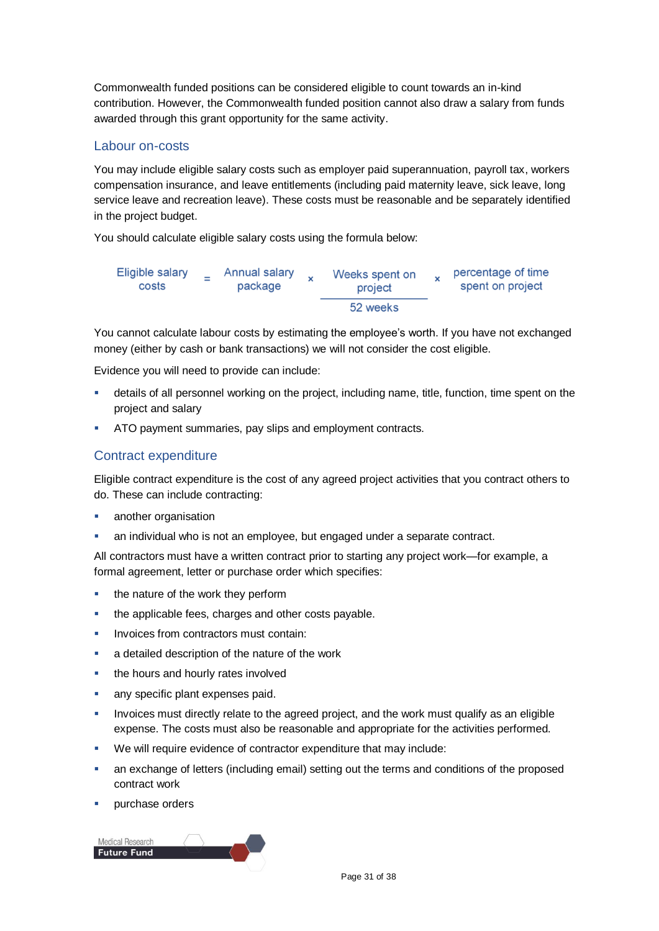Commonwealth funded positions can be considered eligible to count towards an in-kind contribution. However, the Commonwealth funded position cannot also draw a salary from funds awarded through this grant opportunity for the same activity.

### Labour on-costs

You may include eligible salary costs such as employer paid superannuation, payroll tax, workers compensation insurance, and leave entitlements (including paid maternity leave, sick leave, long service leave and recreation leave). These costs must be reasonable and be separately identified in the project budget.

You should calculate eligible salary costs using the formula below:



You cannot calculate labour costs by estimating the employee's worth. If you have not exchanged money (either by cash or bank transactions) we will not consider the cost eligible.

Evidence you will need to provide can include:

- details of all personnel working on the project, including name, title, function, time spent on the project and salary
- ATO payment summaries, pay slips and employment contracts.

### Contract expenditure

Eligible contract expenditure is the cost of any agreed project activities that you contract others to do. These can include contracting:

- **another organisation**
- an individual who is not an employee, but engaged under a separate contract.

All contractors must have a written contract prior to starting any project work—for example, a formal agreement, letter or purchase order which specifies:

- the nature of the work they perform
- the applicable fees, charges and other costs payable.
- Invoices from contractors must contain:
- **a** detailed description of the nature of the work
- the hours and hourly rates involved
- any specific plant expenses paid.
- Invoices must directly relate to the agreed project, and the work must qualify as an eligible expense. The costs must also be reasonable and appropriate for the activities performed.
- We will require evidence of contractor expenditure that may include:
- an exchange of letters (including email) setting out the terms and conditions of the proposed contract work
- purchase orders

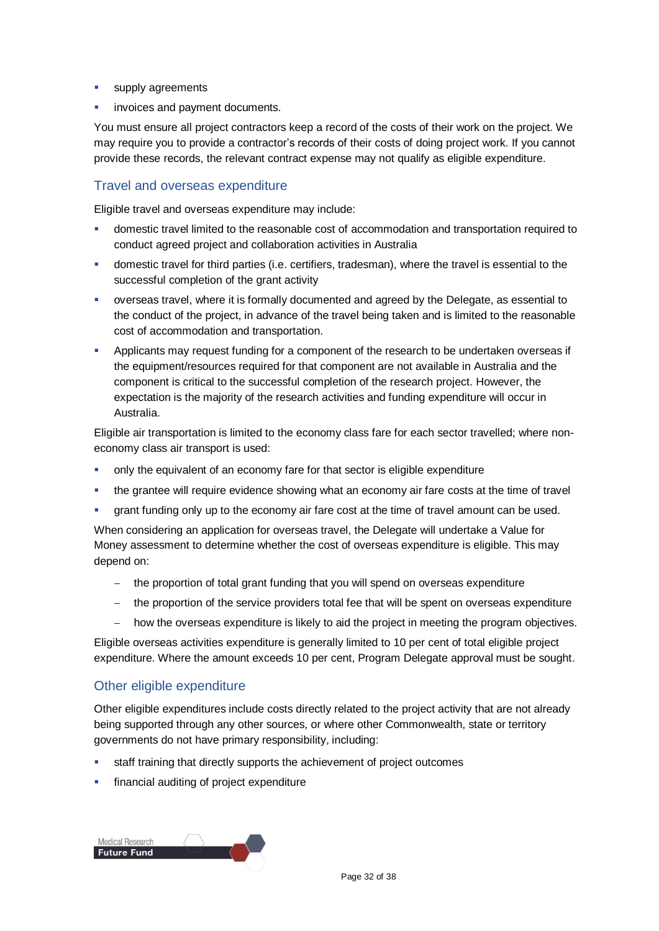- **supply agreements**
- invoices and payment documents.

You must ensure all project contractors keep a record of the costs of their work on the project. We may require you to provide a contractor's records of their costs of doing project work. If you cannot provide these records, the relevant contract expense may not qualify as eligible expenditure.

### Travel and overseas expenditure

Eligible travel and overseas expenditure may include:

- domestic travel limited to the reasonable cost of accommodation and transportation required to conduct agreed project and collaboration activities in Australia
- domestic travel for third parties (i.e. certifiers, tradesman), where the travel is essential to the successful completion of the grant activity
- overseas travel, where it is formally documented and agreed by the Delegate, as essential to the conduct of the project, in advance of the travel being taken and is limited to the reasonable cost of accommodation and transportation.
- Applicants may request funding for a component of the research to be undertaken overseas if the equipment/resources required for that component are not available in Australia and the component is critical to the successful completion of the research project. However, the expectation is the majority of the research activities and funding expenditure will occur in Australia.

Eligible air transportation is limited to the economy class fare for each sector travelled; where noneconomy class air transport is used:

- only the equivalent of an economy fare for that sector is eligible expenditure
- the grantee will require evidence showing what an economy air fare costs at the time of travel
- grant funding only up to the economy air fare cost at the time of travel amount can be used.

When considering an application for overseas travel, the Delegate will undertake a Value for Money assessment to determine whether the cost of overseas expenditure is eligible. This may depend on:

- the proportion of total grant funding that you will spend on overseas expenditure
- $-$  the proportion of the service providers total fee that will be spent on overseas expenditure
- how the overseas expenditure is likely to aid the project in meeting the program objectives.

Eligible overseas activities expenditure is generally limited to 10 per cent of total eligible project expenditure. Where the amount exceeds 10 per cent, Program Delegate approval must be sought.

### Other eligible expenditure

Other eligible expenditures include costs directly related to the project activity that are not already being supported through any other sources, or where other Commonwealth, state or territory governments do not have primary responsibility, including:

- staff training that directly supports the achievement of project outcomes
- financial auditing of project expenditure

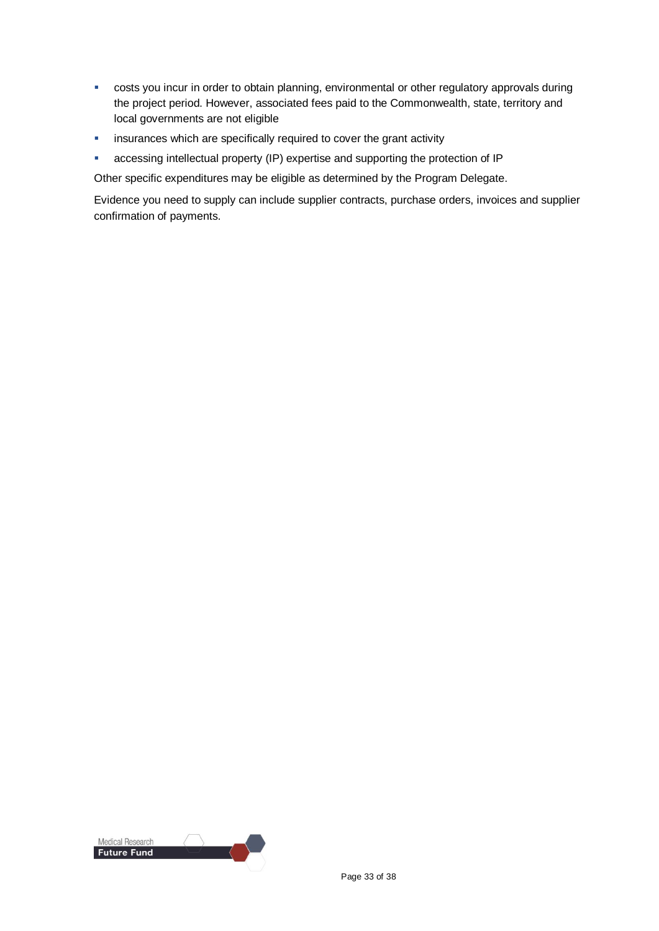- **EXECTS 20 FET 20 FET 20 FET 20 FET 20 FET 20 FET 20 FET 20 FET 20 FET 20 FET 20 FET 20 FET 20 FET 20 FET 20 FE** the project period. However, associated fees paid to the Commonwealth, state, territory and local governments are not eligible
- **EXEDENT** insurances which are specifically required to cover the grant activity
- accessing intellectual property (IP) expertise and supporting the protection of IP

Other specific expenditures may be eligible as determined by the Program Delegate.

Evidence you need to supply can include supplier contracts, purchase orders, invoices and supplier confirmation of payments.

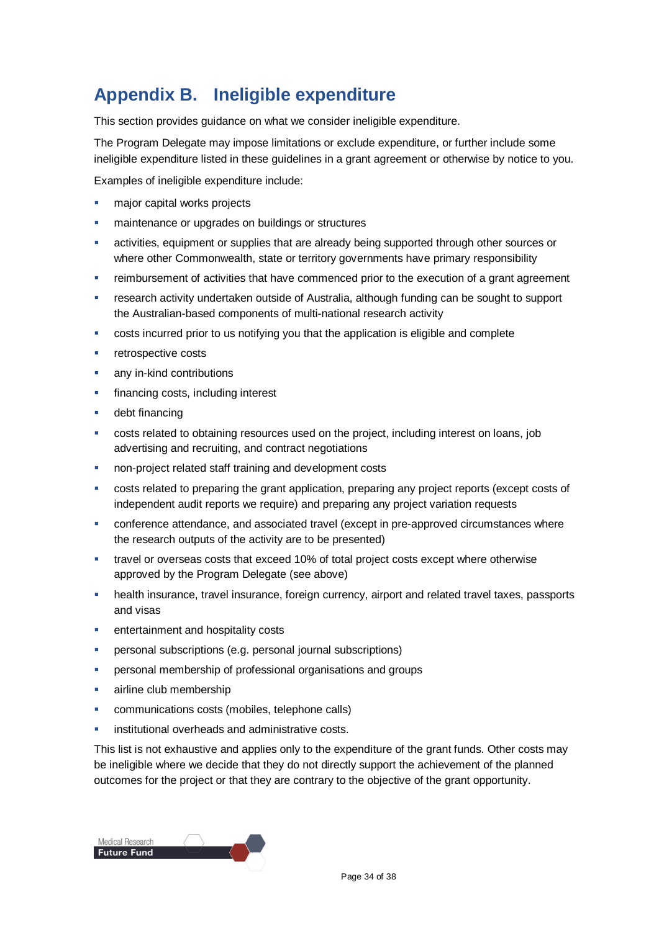### **Appendix B. Ineligible expenditure**

This section provides guidance on what we consider ineligible expenditure.

The Program Delegate may impose limitations or exclude expenditure, or further include some ineligible expenditure listed in these guidelines in a grant agreement or otherwise by notice to you.

Examples of ineligible expenditure include:

- major capital works projects
- maintenance or upgrades on buildings or structures
- activities, equipment or supplies that are already being supported through other sources or where other Commonwealth, state or territory governments have primary responsibility
- **F** reimbursement of activities that have commenced prior to the execution of a grant agreement
- research activity undertaken outside of Australia, although funding can be sought to support the Australian-based components of multi-national research activity
- costs incurred prior to us notifying you that the application is eligible and complete
- retrospective costs
- any in-kind contributions
- **financing costs, including interest**
- debt financing
- costs related to obtaining resources used on the project, including interest on loans, job advertising and recruiting, and contract negotiations
- non-project related staff training and development costs
- costs related to preparing the grant application, preparing any project reports (except costs of independent audit reports we require) and preparing any project variation requests
- conference attendance, and associated travel (except in pre-approved circumstances where the research outputs of the activity are to be presented)
- travel or overseas costs that exceed 10% of total project costs except where otherwise approved by the Program Delegate (see above)
- health insurance, travel insurance, foreign currency, airport and related travel taxes, passports and visas
- entertainment and hospitality costs
- personal subscriptions (e.g. personal journal subscriptions)
- personal membership of professional organisations and groups
- airline club membership
- communications costs (mobiles, telephone calls)
- institutional overheads and administrative costs.

This list is not exhaustive and applies only to the expenditure of the grant funds. Other costs may be ineligible where we decide that they do not directly support the achievement of the planned outcomes for the project or that they are contrary to the objective of the grant opportunity.

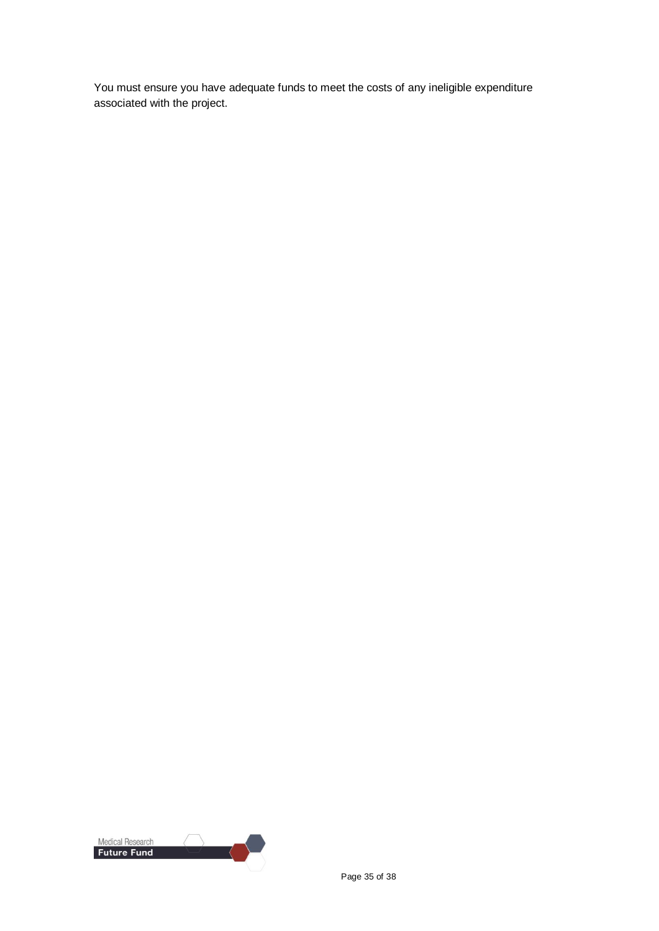You must ensure you have adequate funds to meet the costs of any ineligible expenditure associated with the project.

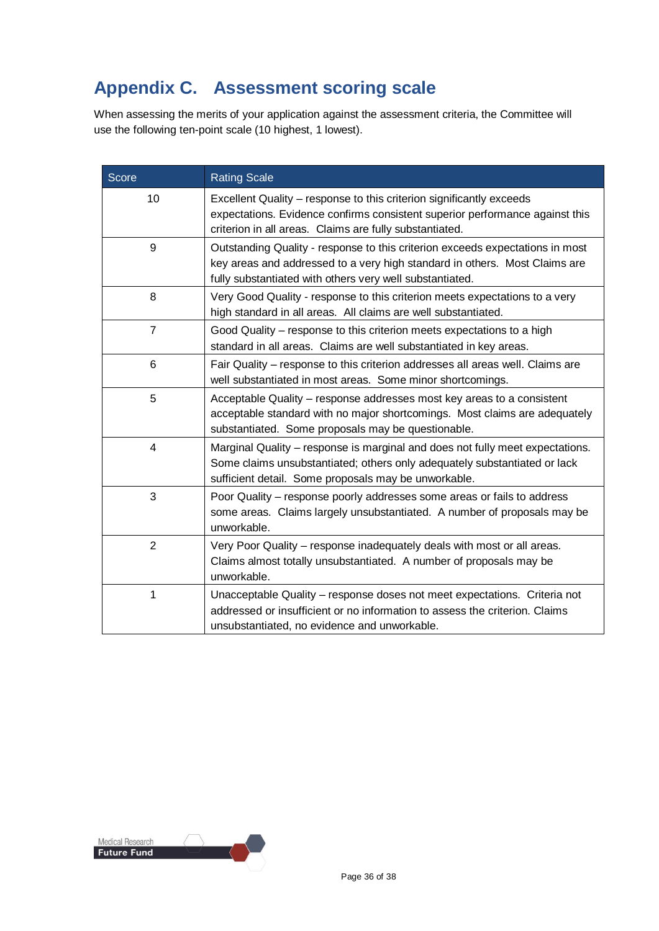### **Appendix C. Assessment scoring scale**

When assessing the merits of your application against the assessment criteria, the Committee will use the following ten-point scale (10 highest, 1 lowest).

| <b>Score</b>   | <b>Rating Scale</b>                                                                                                                                                                                                     |
|----------------|-------------------------------------------------------------------------------------------------------------------------------------------------------------------------------------------------------------------------|
| 10             | Excellent Quality – response to this criterion significantly exceeds<br>expectations. Evidence confirms consistent superior performance against this<br>criterion in all areas. Claims are fully substantiated.         |
| 9              | Outstanding Quality - response to this criterion exceeds expectations in most<br>key areas and addressed to a very high standard in others. Most Claims are<br>fully substantiated with others very well substantiated. |
| 8              | Very Good Quality - response to this criterion meets expectations to a very<br>high standard in all areas. All claims are well substantiated.                                                                           |
| $\overline{7}$ | Good Quality – response to this criterion meets expectations to a high<br>standard in all areas. Claims are well substantiated in key areas.                                                                            |
| 6              | Fair Quality - response to this criterion addresses all areas well. Claims are<br>well substantiated in most areas. Some minor shortcomings.                                                                            |
| 5              | Acceptable Quality – response addresses most key areas to a consistent<br>acceptable standard with no major shortcomings. Most claims are adequately<br>substantiated. Some proposals may be questionable.              |
| 4              | Marginal Quality – response is marginal and does not fully meet expectations.<br>Some claims unsubstantiated; others only adequately substantiated or lack<br>sufficient detail. Some proposals may be unworkable.      |
| 3              | Poor Quality – response poorly addresses some areas or fails to address<br>some areas. Claims largely unsubstantiated. A number of proposals may be<br>unworkable.                                                      |
| $\overline{2}$ | Very Poor Quality - response inadequately deals with most or all areas.<br>Claims almost totally unsubstantiated. A number of proposals may be<br>unworkable.                                                           |
| 1              | Unacceptable Quality – response doses not meet expectations. Criteria not<br>addressed or insufficient or no information to assess the criterion. Claims<br>unsubstantiated, no evidence and unworkable.                |

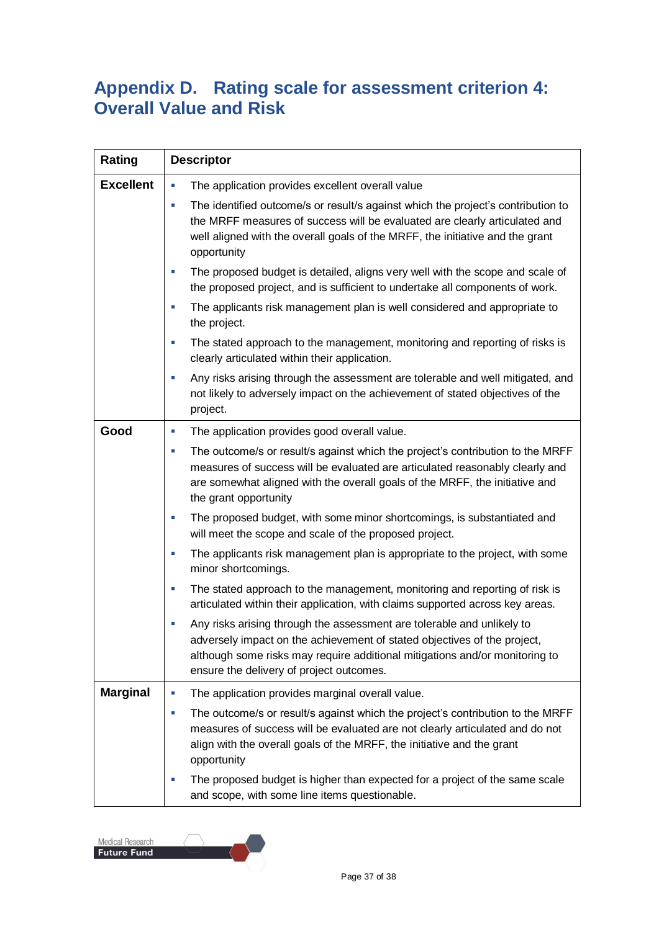### **Appendix D. Rating scale for assessment criterion 4: Overall Value and Risk**

| Rating           | <b>Descriptor</b>                                                                                                                                                                                                                                                                                         |  |
|------------------|-----------------------------------------------------------------------------------------------------------------------------------------------------------------------------------------------------------------------------------------------------------------------------------------------------------|--|
| <b>Excellent</b> | The application provides excellent overall value<br>L.                                                                                                                                                                                                                                                    |  |
|                  | The identified outcome/s or result/s against which the project's contribution to<br>$\overline{\phantom{a}}$<br>the MRFF measures of success will be evaluated are clearly articulated and<br>well aligned with the overall goals of the MRFF, the initiative and the grant<br>opportunity                |  |
|                  | The proposed budget is detailed, aligns very well with the scope and scale of<br>$\overline{\phantom{a}}$<br>the proposed project, and is sufficient to undertake all components of work.                                                                                                                 |  |
|                  | The applicants risk management plan is well considered and appropriate to<br>×,<br>the project.                                                                                                                                                                                                           |  |
|                  | The stated approach to the management, monitoring and reporting of risks is<br>L.<br>clearly articulated within their application.                                                                                                                                                                        |  |
|                  | Any risks arising through the assessment are tolerable and well mitigated, and<br>$\overline{\phantom{a}}$<br>not likely to adversely impact on the achievement of stated objectives of the<br>project.                                                                                                   |  |
| Good             | The application provides good overall value.<br>ш                                                                                                                                                                                                                                                         |  |
|                  | The outcome/s or result/s against which the project's contribution to the MRFF<br>$\overline{\phantom{a}}$<br>measures of success will be evaluated are articulated reasonably clearly and<br>are somewhat aligned with the overall goals of the MRFF, the initiative and<br>the grant opportunity        |  |
|                  | The proposed budget, with some minor shortcomings, is substantiated and<br>$\overline{\phantom{a}}$<br>will meet the scope and scale of the proposed project.                                                                                                                                             |  |
|                  | The applicants risk management plan is appropriate to the project, with some<br>×,<br>minor shortcomings.                                                                                                                                                                                                 |  |
|                  | The stated approach to the management, monitoring and reporting of risk is<br>$\overline{\phantom{a}}$<br>articulated within their application, with claims supported across key areas.                                                                                                                   |  |
|                  | Any risks arising through the assessment are tolerable and unlikely to<br>$\overline{\phantom{a}}$<br>adversely impact on the achievement of stated objectives of the project,<br>although some risks may require additional mitigations and/or monitoring to<br>ensure the delivery of project outcomes. |  |
| <b>Marginal</b>  | The application provides marginal overall value.<br>L,                                                                                                                                                                                                                                                    |  |
|                  | The outcome/s or result/s against which the project's contribution to the MRFF<br>×,<br>measures of success will be evaluated are not clearly articulated and do not<br>align with the overall goals of the MRFF, the initiative and the grant<br>opportunity                                             |  |
|                  | The proposed budget is higher than expected for a project of the same scale<br>×<br>and scope, with some line items questionable.                                                                                                                                                                         |  |